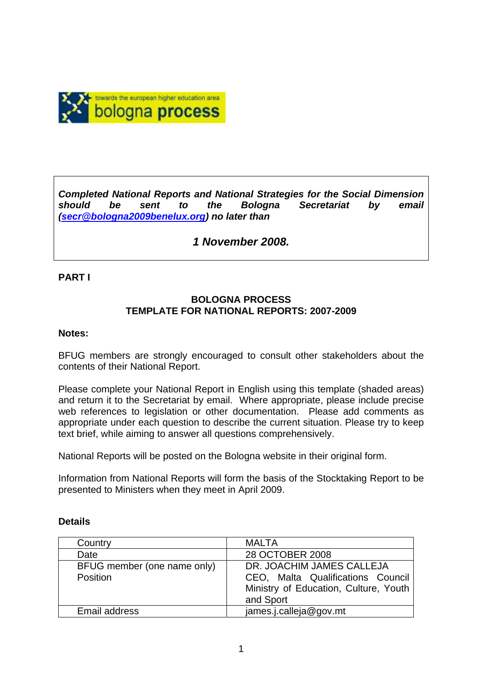

*Completed National Reports and National Strategies for the Social Dimension should be sent to the Bologna Secretariat by email (secr@bologna2009benelux.org) no later than* 

# *1 November 2008.*

#### **PART I**

### **BOLOGNA PROCESS TEMPLATE FOR NATIONAL REPORTS: 2007-2009**

#### **Notes:**

BFUG members are strongly encouraged to consult other stakeholders about the contents of their National Report.

Please complete your National Report in English using this template (shaded areas) and return it to the Secretariat by email. Where appropriate, please include precise web references to legislation or other documentation. Please add comments as appropriate under each question to describe the current situation. Please try to keep text brief, while aiming to answer all questions comprehensively.

National Reports will be posted on the Bologna website in their original form.

Information from National Reports will form the basis of the Stocktaking Report to be presented to Ministers when they meet in April 2009.

| Country                                 | <b>MALTA</b>                                                                                                         |
|-----------------------------------------|----------------------------------------------------------------------------------------------------------------------|
| Date                                    | 28 OCTOBER 2008                                                                                                      |
| BFUG member (one name only)<br>Position | DR. JOACHIM JAMES CALLEJA<br>CEO, Malta Qualifications Council<br>Ministry of Education, Culture, Youth<br>and Sport |
| Email address                           | james.j.calleja@gov.mt                                                                                               |

#### **Details**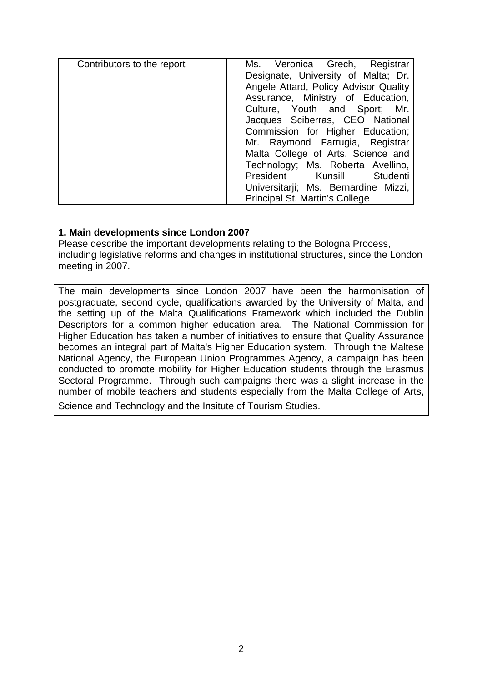| Contributors to the report | Ms. Veronica Grech, Registrar         |
|----------------------------|---------------------------------------|
|                            | Designate, University of Malta; Dr.   |
|                            | Angele Attard, Policy Advisor Quality |
|                            | Assurance, Ministry of Education,     |
|                            | Culture, Youth and Sport; Mr.         |
|                            | Jacques Sciberras, CEO National       |
|                            | Commission for Higher Education;      |
|                            | Mr. Raymond Farrugia, Registrar       |
|                            | Malta College of Arts, Science and    |
|                            | Technology; Ms. Roberta Avellino,     |
|                            | President Kunsill Studenti            |
|                            | Universitarii; Ms. Bernardine Mizzi,  |
|                            | Principal St. Martin's College        |

### **1. Main developments since London 2007**

Please describe the important developments relating to the Bologna Process, including legislative reforms and changes in institutional structures, since the London meeting in 2007.

The main developments since London 2007 have been the harmonisation of postgraduate, second cycle, qualifications awarded by the University of Malta, and the setting up of the Malta Qualifications Framework which included the Dublin Descriptors for a common higher education area. The National Commission for Higher Education has taken a number of initiatives to ensure that Quality Assurance becomes an integral part of Malta's Higher Education system. Through the Maltese National Agency, the European Union Programmes Agency, a campaign has been conducted to promote mobility for Higher Education students through the Erasmus Sectoral Programme. Through such campaigns there was a slight increase in the number of mobile teachers and students especially from the Malta College of Arts, Science and Technology and the Insitute of Tourism Studies.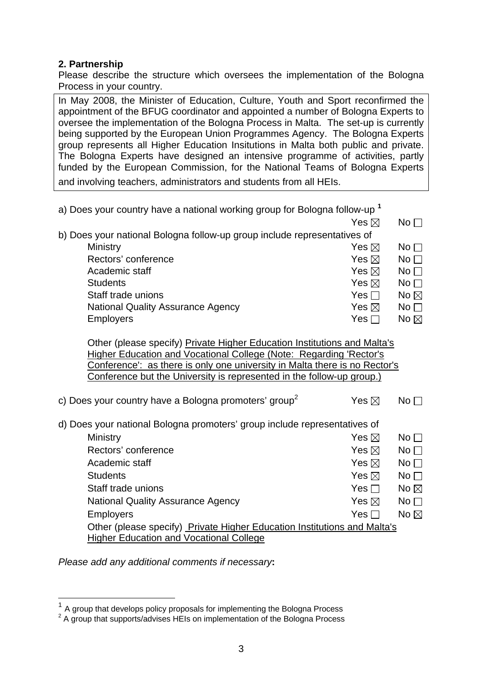## **2. Partnership**

Please describe the structure which oversees the implementation of the Bologna Process in your country.

In May 2008, the Minister of Education, Culture, Youth and Sport reconfirmed the appointment of the BFUG coordinator and appointed a number of Bologna Experts to oversee the implementation of the Bologna Process in Malta. The set-up is currently being supported by the European Union Programmes Agency. The Bologna Experts group represents all Higher Education Insitutions in Malta both public and private. The Bologna Experts have designed an intensive programme of activities, partly funded by the European Commission, for the National Teams of Bologna Experts and involving teachers, administrators and students from all HEIs.

| a) Does your country have a national working group for Bologna follow-up <sup>1</sup>                                                                                                                                                                                                                        |                 |                 |  |  |  |  |
|--------------------------------------------------------------------------------------------------------------------------------------------------------------------------------------------------------------------------------------------------------------------------------------------------------------|-----------------|-----------------|--|--|--|--|
|                                                                                                                                                                                                                                                                                                              | Yes $\boxtimes$ | $No \square$    |  |  |  |  |
| b) Does your national Bologna follow-up group include representatives of                                                                                                                                                                                                                                     |                 |                 |  |  |  |  |
| Ministry                                                                                                                                                                                                                                                                                                     | Yes $\boxtimes$ | No $\square$    |  |  |  |  |
| Rectors' conference                                                                                                                                                                                                                                                                                          | Yes $\boxtimes$ | $No \square$    |  |  |  |  |
| Academic staff                                                                                                                                                                                                                                                                                               | Yes $\boxtimes$ | No <sub>1</sub> |  |  |  |  |
| <b>Students</b>                                                                                                                                                                                                                                                                                              | Yes $\boxtimes$ | $No \Box$       |  |  |  |  |
| Staff trade unions                                                                                                                                                                                                                                                                                           | Yes $\Box$      | No $\boxtimes$  |  |  |  |  |
| <b>National Quality Assurance Agency</b>                                                                                                                                                                                                                                                                     | Yes $\boxtimes$ | No $\Box$       |  |  |  |  |
| <b>Employers</b>                                                                                                                                                                                                                                                                                             | Yes $\Box$      | No $\boxtimes$  |  |  |  |  |
| Other (please specify) Private Higher Education Institutions and Malta's<br><b>Higher Education and Vocational College (Note: Regarding 'Rector's</b><br>Conference': as there is only one university in Malta there is no Rector's<br>Conference but the University is represented in the follow-up group.) |                 |                 |  |  |  |  |
| c) Does your country have a Bologna promoters' group <sup>2</sup>                                                                                                                                                                                                                                            | Yes $\boxtimes$ | No <sub>1</sub> |  |  |  |  |
| d) Does your national Bologna promoters' group include representatives of                                                                                                                                                                                                                                    |                 |                 |  |  |  |  |
| Ministry                                                                                                                                                                                                                                                                                                     | Yes $\boxtimes$ | $No \square$    |  |  |  |  |
| Rectors' conference                                                                                                                                                                                                                                                                                          | Yes $\boxtimes$ | $No \square$    |  |  |  |  |
| Academic staff                                                                                                                                                                                                                                                                                               | Yes $\boxtimes$ | No              |  |  |  |  |
| <b>Students</b>                                                                                                                                                                                                                                                                                              | Yes $\boxtimes$ | No              |  |  |  |  |
| Staff trade unions                                                                                                                                                                                                                                                                                           | Yes $\Box$      | No $\boxtimes$  |  |  |  |  |
| <b>National Quality Assurance Agency</b>                                                                                                                                                                                                                                                                     | Yes $\boxtimes$ | No              |  |  |  |  |
| Employers                                                                                                                                                                                                                                                                                                    | Yes $\Box$      | No $\boxtimes$  |  |  |  |  |
| Other (please specify) Private Higher Education Institutions and Malta's                                                                                                                                                                                                                                     |                 |                 |  |  |  |  |
| <b>Higher Education and Vocational College</b>                                                                                                                                                                                                                                                               |                 |                 |  |  |  |  |

*Please add any additional comments if necessary***:** 

 $\overline{a}$ 

 $1$  A group that develops policy proposals for implementing the Bologna Process

 $2$  A group that supports/advises HEIs on implementation of the Bologna Process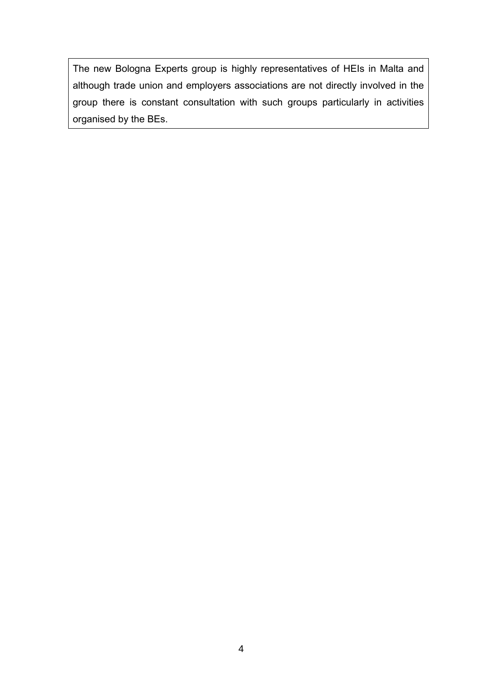The new Bologna Experts group is highly representatives of HEIs in Malta and although trade union and employers associations are not directly involved in the group there is constant consultation with such groups particularly in activities organised by the BEs.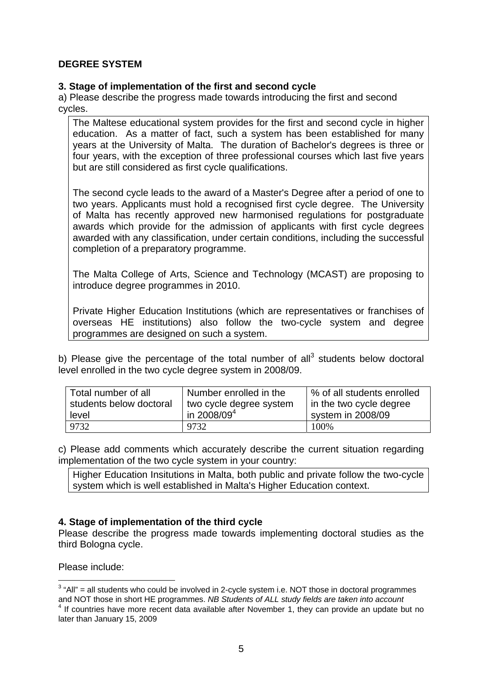### **DEGREE SYSTEM**

#### **3. Stage of implementation of the first and second cycle**

a) Please describe the progress made towards introducing the first and second cycles.

The Maltese educational system provides for the first and second cycle in higher education. As a matter of fact, such a system has been established for many years at the University of Malta. The duration of Bachelor's degrees is three or four years, with the exception of three professional courses which last five years but are still considered as first cycle qualifications.

The second cycle leads to the award of a Master's Degree after a period of one to two years. Applicants must hold a recognised first cycle degree. The University of Malta has recently approved new harmonised regulations for postgraduate awards which provide for the admission of applicants with first cycle degrees awarded with any classification, under certain conditions, including the successful completion of a preparatory programme.

The Malta College of Arts, Science and Technology (MCAST) are proposing to introduce degree programmes in 2010.

Private Higher Education Institutions (which are representatives or franchises of overseas HE institutions) also follow the two-cycle system and degree programmes are designed on such a system.

b) Please give the percentage of the total number of all<sup>3</sup> students below doctoral level enrolled in the two cycle degree system in 2008/09.

| Total number of all     | Number enrolled in the  | % of all students enrolled |
|-------------------------|-------------------------|----------------------------|
| students below doctoral | two cycle degree system | I in the two cycle degree  |
| level                   | in 2008/09 $4$          | system in 2008/09          |
| 9732                    | 9732                    | 100\%                      |

c) Please add comments which accurately describe the current situation regarding implementation of the two cycle system in your country:

Higher Education Insitutions in Malta, both public and private follow the two-cycle system which is well established in Malta's Higher Education context.

# **4. Stage of implementation of the third cycle**

Please describe the progress made towards implementing doctoral studies as the third Bologna cycle.

Please include:

 $\overline{a}$ 

 $3$  "All" = all students who could be involved in 2-cycle system i.e. NOT those in doctoral programmes and NOT those in short HE programmes. *NB Students of ALL study fields are taken into account* <sup>4</sup> If countries have more recent data available after November 1, they can provide an update but no later than January 15, 2009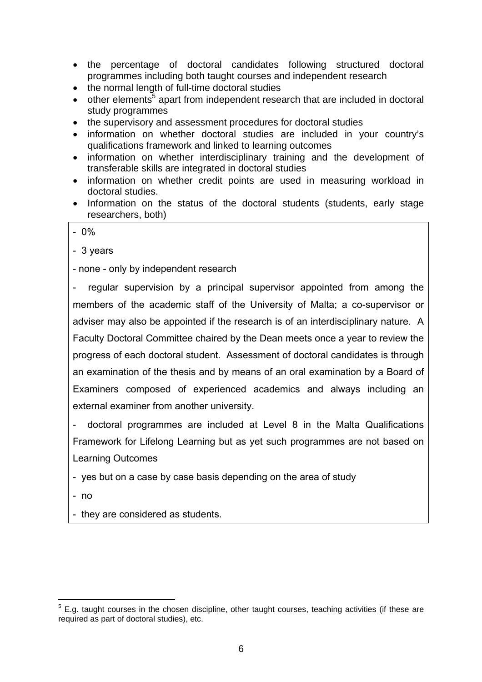- the percentage of doctoral candidates following structured doctoral programmes including both taught courses and independent research
- the normal length of full-time doctoral studies
- $\bullet$  other elements<sup>5</sup> apart from independent research that are included in doctoral study programmes
- the supervisory and assessment procedures for doctoral studies
- information on whether doctoral studies are included in your country's qualifications framework and linked to learning outcomes
- information on whether interdisciplinary training and the development of transferable skills are integrated in doctoral studies
- information on whether credit points are used in measuring workload in doctoral studies.
- Information on the status of the doctoral students (students, early stage researchers, both)

- 0%

- 3 years

- none - only by independent research

- regular supervision by a principal supervisor appointed from among the members of the academic staff of the University of Malta; a co-supervisor or adviser may also be appointed if the research is of an interdisciplinary nature. A Faculty Doctoral Committee chaired by the Dean meets once a year to review the progress of each doctoral student. Assessment of doctoral candidates is through an examination of the thesis and by means of an oral examination by a Board of Examiners composed of experienced academics and always including an external examiner from another university.

- doctoral programmes are included at Level 8 in the Malta Qualifications Framework for Lifelong Learning but as yet such programmes are not based on Learning Outcomes

- yes but on a case by case basis depending on the area of study

- no

 $\overline{a}$ 

- they are considered as students.

 $5$  E.g. taught courses in the chosen discipline, other taught courses, teaching activities (if these are required as part of doctoral studies), etc.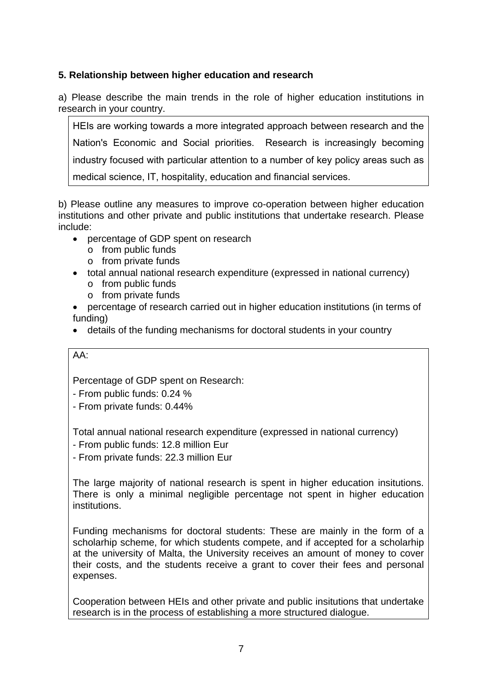# **5. Relationship between higher education and research**

a) Please describe the main trends in the role of higher education institutions in research in your country.

HEIs are working towards a more integrated approach between research and the Nation's Economic and Social priorities. Research is increasingly becoming industry focused with particular attention to a number of key policy areas such as medical science, IT, hospitality, education and financial services.

b) Please outline any measures to improve co-operation between higher education institutions and other private and public institutions that undertake research. Please include:

- percentage of GDP spent on research
	- o from public funds
	- o from private funds
- total annual national research expenditure (expressed in national currency)
	- o from public funds
	- o from private funds
- percentage of research carried out in higher education institutions (in terms of funding)
- details of the funding mechanisms for doctoral students in your country

# AA:

Percentage of GDP spent on Research:

- From public funds: 0.24 %
- From private funds: 0.44%

Total annual national research expenditure (expressed in national currency)

- From public funds: 12.8 million Eur
- From private funds: 22.3 million Eur

The large majority of national research is spent in higher education insitutions. There is only a minimal negligible percentage not spent in higher education institutions.

Funding mechanisms for doctoral students: These are mainly in the form of a scholarhip scheme, for which students compete, and if accepted for a scholarhip at the university of Malta, the University receives an amount of money to cover their costs, and the students receive a grant to cover their fees and personal expenses.

Cooperation between HEIs and other private and public insitutions that undertake research is in the process of establishing a more structured dialogue.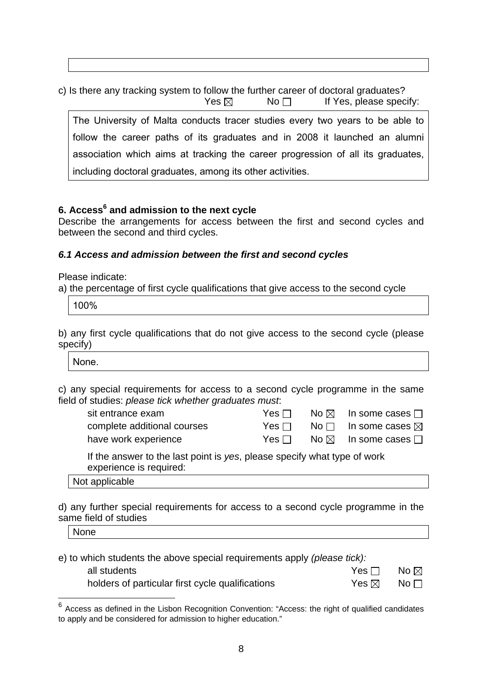c) Is there any tracking system to follow the further career of doctoral graduates?  $Yes \boxtimes$  No  $\Box$  If Yes, please specify:

The University of Malta conducts tracer studies every two years to be able to follow the career paths of its graduates and in 2008 it launched an alumni association which aims at tracking the career progression of all its graduates, including doctoral graduates, among its other activities.

# **6. Access<sup>6</sup> and admission to the next cycle**

Describe the arrangements for access between the first and second cycles and between the second and third cycles.

### *6.1 Access and admission between the first and second cycles*

Please indicate:

a) the percentage of first cycle qualifications that give access to the second cycle

100%

b) any first cycle qualifications that do not give access to the second cycle (please specify)

None.

c) any special requirements for access to a second cycle programme in the same field of studies: *please tick whether graduates must*:

| sit entrance exam           | Yes ⊟  | No $\boxtimes$ In some cases $\Box$            |
|-----------------------------|--------|------------------------------------------------|
| complete additional courses | Yes l∃ | $\mathsf{No} \ \Box$ In some cases $\boxtimes$ |
| have work experience        | Yesll  | No $\boxtimes$ In some cases $\Box$            |

If the answer to the last point is *yes*, please specify what type of work experience is required:

Not applicable

d) any further special requirements for access to a second cycle programme in the same field of studies

None

 $\overline{a}$ 

| e) to which students the above special requirements apply (please tick): |                 |                       |  |  |
|--------------------------------------------------------------------------|-----------------|-----------------------|--|--|
| all students                                                             | Yes $\Box$      | No $\boxtimes$        |  |  |
| holders of particular first cycle qualifications                         | Yes $\boxtimes$ | $\mathsf{No} \, \Box$ |  |  |

 $6$  Access as defined in the Lisbon Recognition Convention: "Access: the right of qualified candidates to apply and be considered for admission to higher education."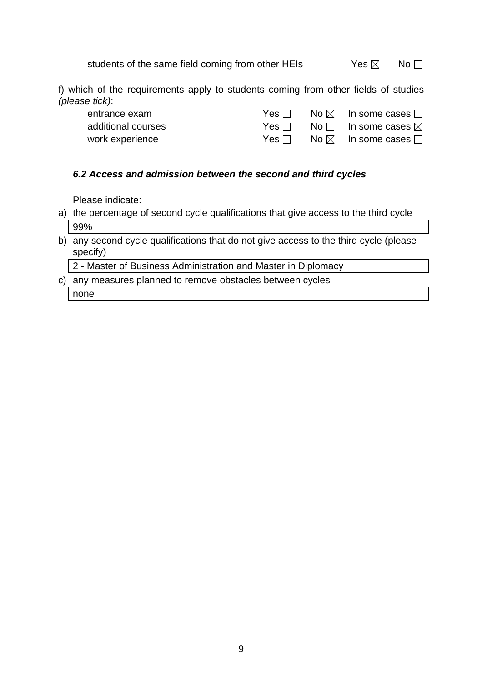students of the same field coming from other HEIs  $Yes \boxtimes \neg No \square$ 

f) which of the requirements apply to students coming from other fields of studies *(please tick)*:

| entrance exam      | Yes □      | $\mathsf{No} \boxtimes \mathsf{In}$ some cases $\Box$        |
|--------------------|------------|--------------------------------------------------------------|
| additional courses | Yes ⊟      | No $\Box$ In some cases $\boxtimes$                          |
| work experience    | Yes $\Box$ | $\mathsf{No}\boxtimes\mathsf{In\;some\;cases}\,\mathsf{\Pi}$ |

### *6.2 Access and admission between the second and third cycles*

Please indicate:

- a) the percentage of second cycle qualifications that give access to the third cycle 99%
- b) any second cycle qualifications that do not give access to the third cycle (please specify)

2 - Master of Business Administration and Master in Diplomacy

c) any measures planned to remove obstacles between cycles

none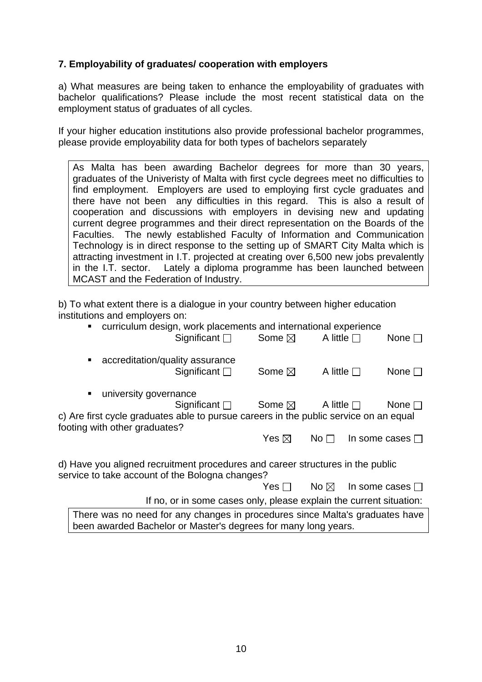# **7. Employability of graduates/ cooperation with employers**

a) What measures are being taken to enhance the employability of graduates with bachelor qualifications? Please include the most recent statistical data on the employment status of graduates of all cycles.

If your higher education institutions also provide professional bachelor programmes, please provide employability data for both types of bachelors separately

As Malta has been awarding Bachelor degrees for more than 30 years, graduates of the Univeristy of Malta with first cycle degrees meet no difficulties to find employment. Employers are used to employing first cycle graduates and there have not been any difficulties in this regard. This is also a result of cooperation and discussions with employers in devising new and updating current degree programmes and their direct representation on the Boards of the Faculties. The newly established Faculty of Information and Communication Technology is in direct response to the setting up of SMART City Malta which is attracting investment in I.T. projected at creating over 6,500 new jobs prevalently in the I.T. sector. Lately a diploma programme has been launched between MCAST and the Federation of Industry.

b) To what extent there is a dialogue in your country between higher education institutions and employers on:

| curriculum design, work placements and international experience<br>π.                 |                                                      |                 |                      |
|---------------------------------------------------------------------------------------|------------------------------------------------------|-----------------|----------------------|
| Significant $\square$                                                                 | Some $\boxtimes$                                     | A little $\Box$ | None $\square$       |
| accreditation/quality assurance<br>п                                                  |                                                      |                 |                      |
| Significant $\Box$                                                                    | Some $\boxtimes$                                     | A little $\Box$ | None $\Box$          |
| university governance<br>٠                                                            |                                                      |                 |                      |
| Significant $\square$                                                                 | Some $\boxtimes$                                     | A little $\Box$ | None $\square$       |
| c) Are first cycle graduates able to pursue careers in the public service on an equal |                                                      |                 |                      |
| footing with other graduates?                                                         |                                                      |                 |                      |
|                                                                                       | Yes $\boxtimes$                                      | No <sub>1</sub> | In some cases $\Box$ |
| d) Have you aligned recruitment procedures and career structures in the public        |                                                      |                 |                      |
| service to take account of the Bologna changes?                                       |                                                      |                 |                      |
|                                                                                       | $\mathsf{Yes} \ \Box \qquad \mathsf{No} \ \boxtimes$ |                 | In some cases $\Box$ |
| If no, or in some cases only, please explain the current situation:                   |                                                      |                 |                      |
| There was no need for any changes in procedures since Malta's graduates have          |                                                      |                 |                      |
| been awarded Bachelor or Master's degrees for many long years.                        |                                                      |                 |                      |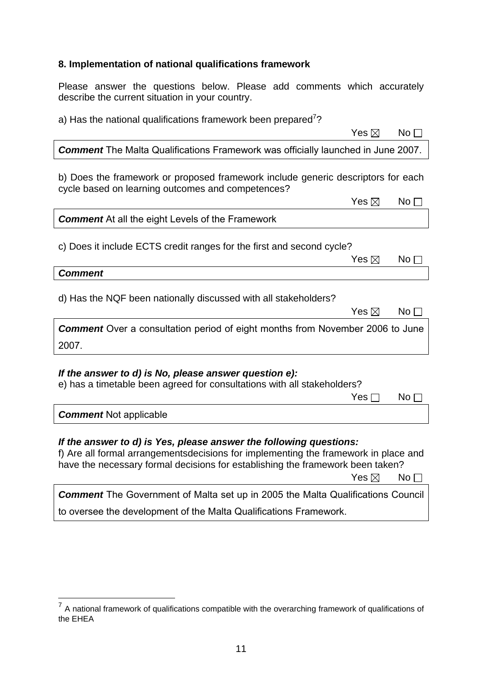# **8. Implementation of national qualifications framework**

Please answer the questions below. Please add comments which accurately describe the current situation in your country.

| a) Has the national qualifications framework been prepared <sup>(2</sup>                                                                                                                                                                                                       |
|--------------------------------------------------------------------------------------------------------------------------------------------------------------------------------------------------------------------------------------------------------------------------------|
| Yes $\boxtimes$<br>No <sub>1</sub>                                                                                                                                                                                                                                             |
| <b>Comment</b> The Malta Qualifications Framework was officially launched in June 2007.                                                                                                                                                                                        |
| b) Does the framework or proposed framework include generic descriptors for each<br>cycle based on learning outcomes and competences?                                                                                                                                          |
| Yes $\boxtimes$<br>No <sub>1</sub>                                                                                                                                                                                                                                             |
| <b>Comment</b> At all the eight Levels of the Framework                                                                                                                                                                                                                        |
| c) Does it include ECTS credit ranges for the first and second cycle?<br>Yes $\boxtimes$<br>No <sub>1</sub>                                                                                                                                                                    |
| <b>Comment</b>                                                                                                                                                                                                                                                                 |
| d) Has the NQF been nationally discussed with all stakeholders?<br>Yes $\boxtimes$<br>No $\square$                                                                                                                                                                             |
| <b>Comment</b> Over a consultation period of eight months from November 2006 to June<br>2007.                                                                                                                                                                                  |
| If the answer to d) is No, please answer question e):<br>e) has a timetable been agreed for consultations with all stakeholders?<br>Yes <sub>I</sub><br>No $\Box$                                                                                                              |
| <b>Comment Not applicable</b>                                                                                                                                                                                                                                                  |
| If the answer to d) is Yes, please answer the following questions:<br>f) Are all formal arrangementsdecisions for implementing the framework in place and<br>have the necessary formal decisions for establishing the framework been taken?<br>Yes $\boxtimes$<br>No $\square$ |
| <b>Comment</b> The Government of Malta set up in 2005 the Malta Qualifications Council                                                                                                                                                                                         |

to oversee the development of the Malta Qualifications Framework.

 $\overline{a}$ 

 $7$  A national framework of qualifications compatible with the overarching framework of qualifications of the EHEA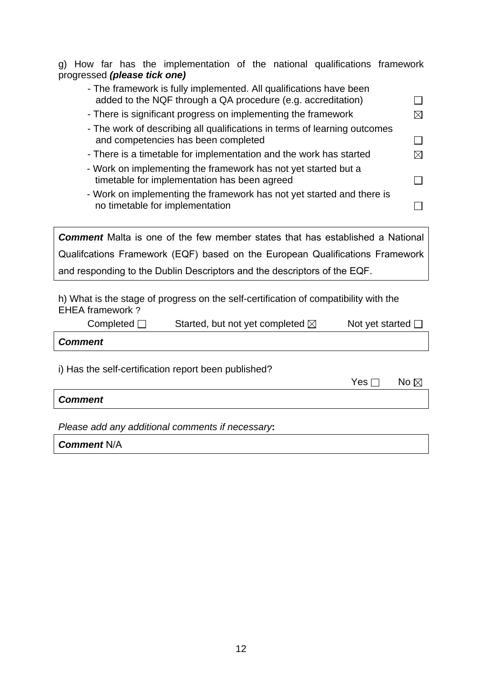|  |  | g) How far has the implementation of the national qualifications framework |  |  |  |
|--|--|----------------------------------------------------------------------------|--|--|--|
|  |  | progressed (please tick one)                                               |  |  |  |

| - The framework is fully implemented. All qualifications have been<br>added to the NQF through a QA procedure (e.g. accreditation) |  |
|------------------------------------------------------------------------------------------------------------------------------------|--|
| - There is significant progress on implementing the framework                                                                      |  |
| - The work of describing all qualifications in terms of learning outcomes<br>and competencies has been completed                   |  |
| - There is a timetable for implementation and the work has started                                                                 |  |
| - Work on implementing the framework has not yet started but a<br>timetable for implementation has been agreed                     |  |
| - Work on implementing the framework has not yet started and there is<br>no timetable for implementation                           |  |
| <b>Comment</b> Malta is one of the few member states that has established a National                                               |  |
| Qualifcations Framework (EQF) based on the European Qualifications Framework                                                       |  |
|                                                                                                                                    |  |

and responding to the Dublin Descriptors and the descriptors of the EQF.

h) What is the stage of progress on the self-certification of compatibility with the EHEA framework ?

| Completed $\Box$ | Started, but not yet completed $\boxtimes$ | Not yet started $\square$ |
|------------------|--------------------------------------------|---------------------------|
| <b>Comment</b>   |                                            |                           |

i) Has the self-certification report been published?

| Yes $\Box$ No $\boxtimes$ |
|---------------------------|
|---------------------------|

#### *Comment*

*Please add any additional comments if necessary***:** 

*Comment* N/A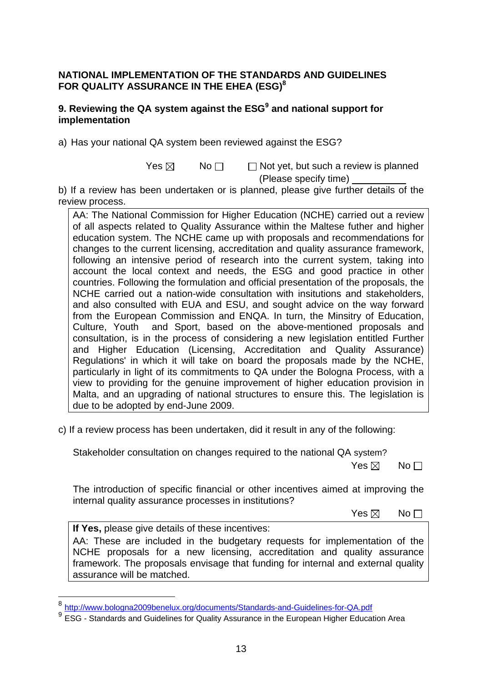### **NATIONAL IMPLEMENTATION OF THE STANDARDS AND GUIDELINES FOR QUALITY ASSURANCE IN THE EHEA (ESG)8**

## **9. Reviewing the QA system against the ESG<sup>9</sup> and national support for implementation**

a) Has your national QA system been reviewed against the ESG?

 $Yes \boxtimes$  No $\Box$  Not yet, but such a review is planned (Please specify time)

b) If a review has been undertaken or is planned, please give further details of the review process.

AA: The National Commission for Higher Education (NCHE) carried out a review of all aspects related to Quality Assurance within the Maltese futher and higher education system. The NCHE came up with proposals and recommendations for changes to the current licensing, accreditation and quality assurance framework, following an intensive period of research into the current system, taking into account the local context and needs, the ESG and good practice in other countries. Following the formulation and official presentation of the proposals, the NCHE carried out a nation-wide consultation with insitutions and stakeholders, and also consulted with EUA and ESU, and sought advice on the way forward from the European Commission and ENQA. In turn, the Minsitry of Education, Culture, Youth and Sport, based on the above-mentioned proposals and consultation, is in the process of considering a new legislation entitled Further and Higher Education (Licensing, Accreditation and Quality Assurance) Regulations' in which it will take on board the proposals made by the NCHE, particularly in light of its commitments to QA under the Bologna Process, with a view to providing for the genuine improvement of higher education provision in Malta, and an upgrading of national structures to ensure this. The legislation is due to be adopted by end-June 2009.

c) If a review process has been undertaken, did it result in any of the following:

Stakeholder consultation on changes required to the national QA system?

 $\mathsf{Yes} \boxtimes \mathsf{No}$ 

The introduction of specific financial or other incentives aimed at improving the internal quality assurance processes in institutions?

 $\mathsf{Yes} \boxtimes \mathsf{No}$ 

**If Yes,** please give details of these incentives:

 $\overline{a}$ 

AA: These are included in the budgetary requests for implementation of the NCHE proposals for a new licensing, accreditation and quality assurance framework. The proposals envisage that funding for internal and external quality assurance will be matched.

<sup>&</sup>lt;sup>8</sup> http://www.bologna2009benelux.org/documents/Standards-and-Guidelines-for-QA.pdf<br><sup>9</sup> ESG - Standards and Guidelines for Quality Assurance in the European Higher Education Area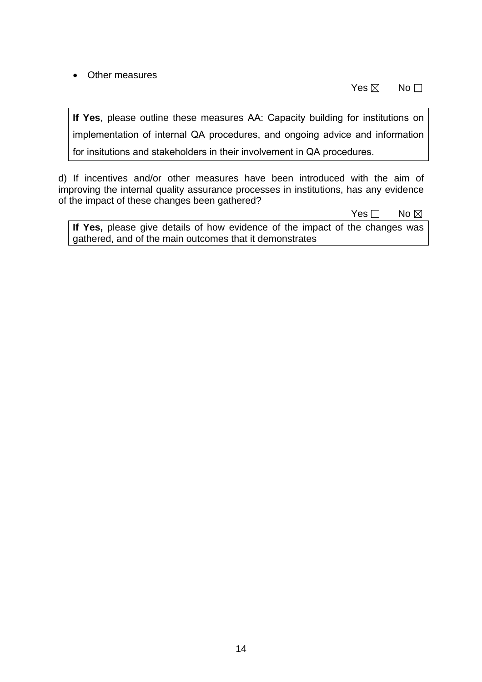## • Other measures

 $\mathsf{Yes} \boxtimes \mathsf{No}$ 

**If Yes**, please outline these measures AA: Capacity building for institutions on implementation of internal QA procedures, and ongoing advice and information for insitutions and stakeholders in their involvement in QA procedures.

d) If incentives and/or other measures have been introduced with the aim of improving the internal quality assurance processes in institutions, has any evidence of the impact of these changes been gathered?

No and the set of the set of the SNo and the SNo and the No and the No and the No and the No and the No and the No

**If Yes,** please give details of how evidence of the impact of the changes was gathered, and of the main outcomes that it demonstrates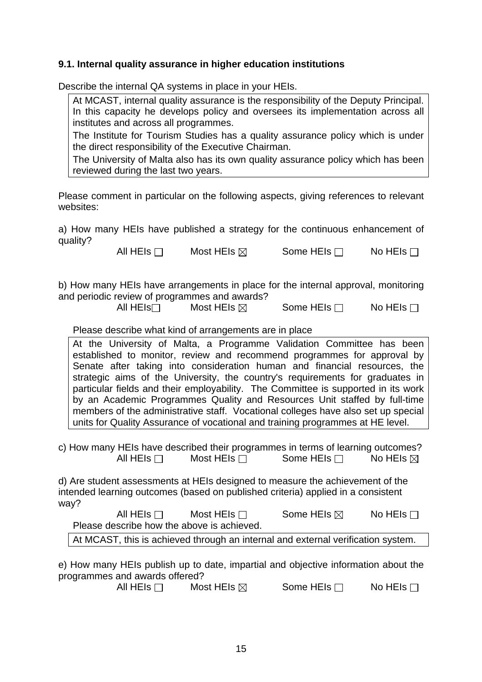# **9.1. Internal quality assurance in higher education institutions**

Describe the internal QA systems in place in your HEIs.

At MCAST, internal quality assurance is the responsibility of the Deputy Principal. In this capacity he develops policy and oversees its implementation across all institutes and across all programmes.

The Institute for Tourism Studies has a quality assurance policy which is under the direct responsibility of the Executive Chairman.

The University of Malta also has its own quality assurance policy which has been reviewed during the last two years.

Please comment in particular on the following aspects, giving references to relevant websites:

a) How many HEIs have published a strategy for the continuous enhancement of quality?

All HEIs  $\Box$  Most HEIs  $\boxtimes$  Some HEIs  $\Box$  No HEIs  $\Box$ 

b) How many HEIs have arrangements in place for the internal approval, monitoring and periodic review of programmes and awards?

All HEIs<sup> $\Box$ </sup> Most HEIs  $\boxtimes$  Some HEIs  $\Box$  No HEIs  $\Box$ 

#### Please describe what kind of arrangements are in place

At the University of Malta, a Programme Validation Committee has been established to monitor, review and recommend programmes for approval by Senate after taking into consideration human and financial resources, the strategic aims of the University, the country's requirements for graduates in particular fields and their employability. The Committee is supported in its work by an Academic Programmes Quality and Resources Unit staffed by full-time members of the administrative staff. Vocational colleges have also set up special units for Quality Assurance of vocational and training programmes at HE level.

c) How many HEIs have described their programmes in terms of learning outcomes? All HEIs  $\Box$  Most HEIs  $\Box$  Some HEIs  $\Box$  No HEIs  $\boxtimes$ 

d) Are student assessments at HEIs designed to measure the achievement of the intended learning outcomes (based on published criteria) applied in a consistent way?

All HEIs  $\Box$  Most HEIs  $\Box$  Some HEIs  $\boxtimes$  No HEIs  $\Box$ Please describe how the above is achieved.

At MCAST, this is achieved through an internal and external verification system.

e) How many HEIs publish up to date, impartial and objective information about the programmes and awards offered?

All HEIs  $\Box$  Most HEIs  $\boxtimes$  Some HEIs  $\Box$  No HEIs  $\Box$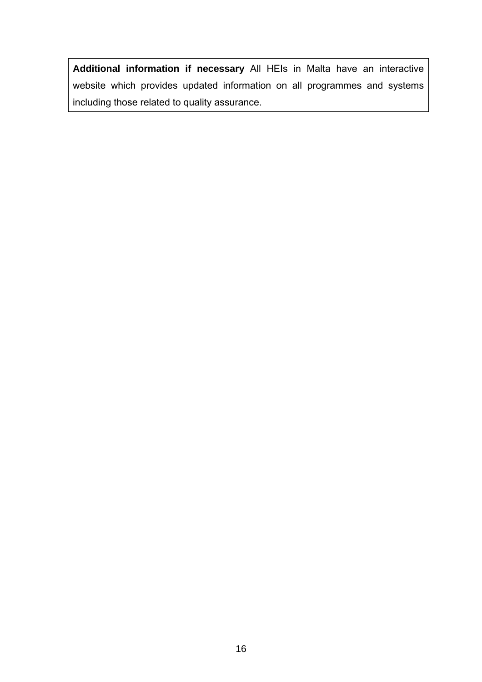**Additional information if necessary** All HEIs in Malta have an interactive website which provides updated information on all programmes and systems including those related to quality assurance.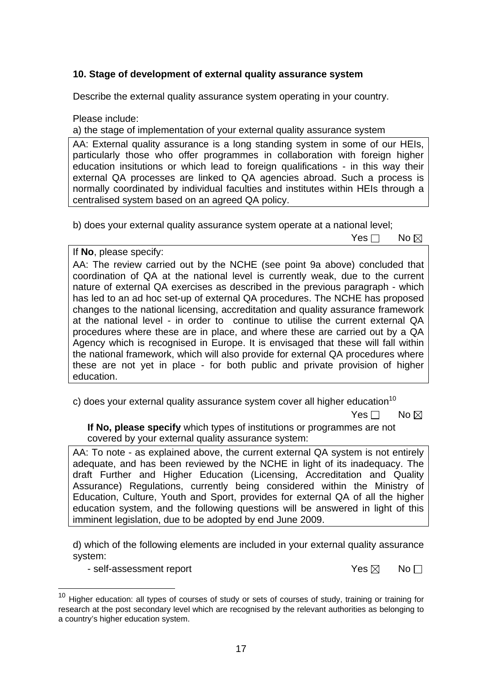# **10. Stage of development of external quality assurance system**

Describe the external quality assurance system operating in your country.

Please include:

a) the stage of implementation of your external quality assurance system

AA: External quality assurance is a long standing system in some of our HEIs, particularly those who offer programmes in collaboration with foreign higher education insitutions or which lead to foreign qualifications - in this way their external QA processes are linked to QA agencies abroad. Such a process is normally coordinated by individual faculties and institutes within HEIs through a centralised system based on an agreed QA policy.

b) does your external quality assurance system operate at a national level;

No and the set of the set of the SNo and the SNo and the No and the No and the No and the No and the No and the No

If **No**, please specify: AA: The review carried out by the NCHE (see point 9a above) concluded that coordination of QA at the national level is currently weak, due to the current nature of external QA exercises as described in the previous paragraph - which has led to an ad hoc set-up of external QA procedures. The NCHE has proposed changes to the national licensing, accreditation and quality assurance framework at the national level - in order to continue to utilise the current external QA procedures where these are in place, and where these are carried out by a QA Agency which is recognised in Europe. It is envisaged that these will fall within the national framework, which will also provide for external QA procedures where these are not yet in place - for both public and private provision of higher education.

c) does your external quality assurance system cover all higher education<sup>10</sup>

No and the set of the set of the SNo and the SNo and the No and the No and the No and the No and the No and the No

**If No, please specify** which types of institutions or programmes are not covered by your external quality assurance system:

AA: To note - as explained above, the current external QA system is not entirely adequate, and has been reviewed by the NCHE in light of its inadequacy. The draft Further and Higher Education (Licensing, Accreditation and Quality Assurance) Regulations, currently being considered within the Ministry of Education, Culture, Youth and Sport, provides for external QA of all the higher education system, and the following questions will be answered in light of this imminent legislation, due to be adopted by end June 2009.

d) which of the following elements are included in your external quality assurance system:

- self-assessment report  $\Box$  Yes  $\boxtimes$  No  $\Box$ 

 $\overline{a}$ 

 $10$  Higher education: all types of courses of study or sets of courses of study, training or training for research at the post secondary level which are recognised by the relevant authorities as belonging to a country's higher education system.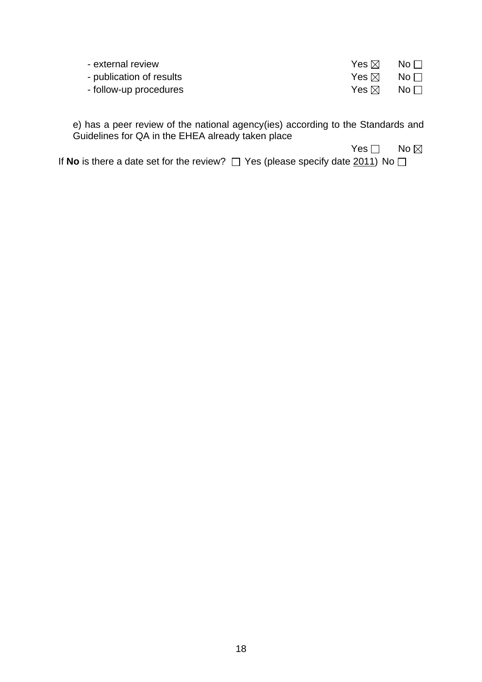| - external review        | Yes $\boxtimes$ | $\mathsf{No} \ \Box$   |
|--------------------------|-----------------|------------------------|
| - publication of results | Yes ⊠           | $\mathsf{No} \ \Box$   |
| - follow-up procedures   | Yes ⊠           | $\mathsf{No}\,\square$ |

e) has a peer review of the national agency(ies) according to the Standards and Guidelines for QA in the EHEA already taken place

No and the state of the state of the North State of the North State of the North State of the North State of the No

If **No** is there a date set for the review?  $\Box$  Yes (please specify date  $\underline{2011}$ ) No  $\Box$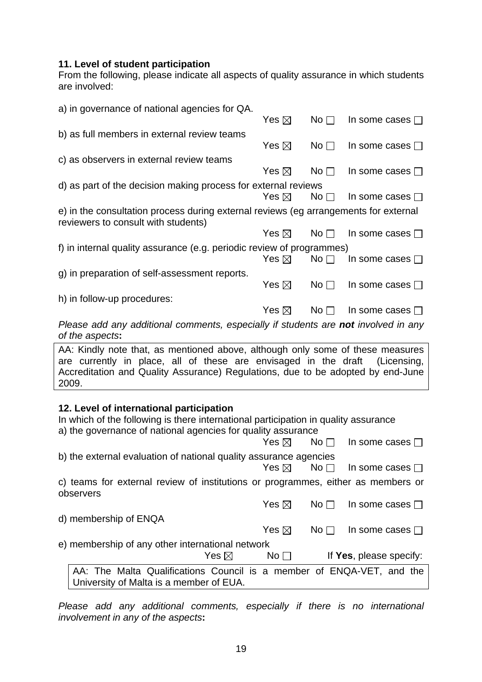#### **11. Level of student participation**

From the following, please indicate all aspects of quality assurance in which students are involved:

| a) in governance of national agencies for QA.                                                                               |                 |                 |                         |
|-----------------------------------------------------------------------------------------------------------------------------|-----------------|-----------------|-------------------------|
|                                                                                                                             | Yes $\boxtimes$ | No <sub>1</sub> | In some cases $\square$ |
| b) as full members in external review teams                                                                                 |                 |                 |                         |
|                                                                                                                             | Yes $\boxtimes$ | No <sub>1</sub> | In some cases $\square$ |
| c) as observers in external review teams                                                                                    |                 |                 |                         |
|                                                                                                                             | Yes $\boxtimes$ | No <sub>1</sub> | In some cases $\square$ |
| d) as part of the decision making process for external reviews                                                              |                 |                 |                         |
|                                                                                                                             | Yes $\boxtimes$ | No $\Box$       | In some cases $\square$ |
| e) in the consultation process during external reviews (eg arrangements for external<br>reviewers to consult with students) |                 |                 |                         |
|                                                                                                                             | Yes $\boxtimes$ | No $\Box$       | In some cases $\square$ |
| f) in internal quality assurance (e.g. periodic review of programmes)                                                       |                 |                 |                         |
|                                                                                                                             | Yes $\boxtimes$ | No <sub>1</sub> | In some cases $\square$ |
| g) in preparation of self-assessment reports.                                                                               |                 |                 |                         |
|                                                                                                                             | Yes $\boxtimes$ | No <sub>1</sub> | In some cases $\Box$    |
| h) in follow-up procedures:                                                                                                 |                 |                 |                         |
|                                                                                                                             | Yes $\boxtimes$ | No $\Box$       | In some cases $\square$ |
| Please add any additional comments, especially if students are not involved in any<br>of the aspects:                       |                 |                 |                         |
| AA. Kindly note that as mentioned above although only seme of these messures                                                |                 |                 |                         |

AA: Kindly note that, as mentioned above, although only some of these measures are currently in place, all of these are envisaged in the draft (Licensing, Accreditation and Quality Assurance) Regulations, due to be adopted by end-June 2009.

# **12. Level of international participation**

| In which of the following is there international participation in quality assurance<br>a) the governance of national agencies for quality assurance |                 |                                     |                 |                         |  |
|-----------------------------------------------------------------------------------------------------------------------------------------------------|-----------------|-------------------------------------|-----------------|-------------------------|--|
|                                                                                                                                                     |                 | Yes $\boxtimes$                     | No $\Box$       | In some cases $\Box$    |  |
| b) the external evaluation of national quality assurance agencies                                                                                   |                 |                                     |                 |                         |  |
|                                                                                                                                                     |                 | $Yes \boxtimes \textsf{No} \square$ |                 | In some cases $\Box$    |  |
| c) teams for external review of institutions or programmes, either as members or<br>observers                                                       |                 |                                     |                 |                         |  |
|                                                                                                                                                     |                 | Yes $\boxtimes$                     | No <sub>1</sub> | In some cases $\Box$    |  |
| d) membership of ENQA                                                                                                                               |                 |                                     |                 |                         |  |
|                                                                                                                                                     |                 | Yes $\boxtimes$                     | No $\Box$       | In some cases $\Box$    |  |
| e) membership of any other international network                                                                                                    |                 |                                     |                 |                         |  |
|                                                                                                                                                     | Yes $\boxtimes$ | No <sub>1</sub>                     |                 | If Yes, please specify: |  |
| AA: The Malta Qualifications Council is a member of ENQA-VET, and the<br>University of Malta is a member of EUA.                                    |                 |                                     |                 |                         |  |

*Please add any additional comments, especially if there is no international involvement in any of the aspects***:**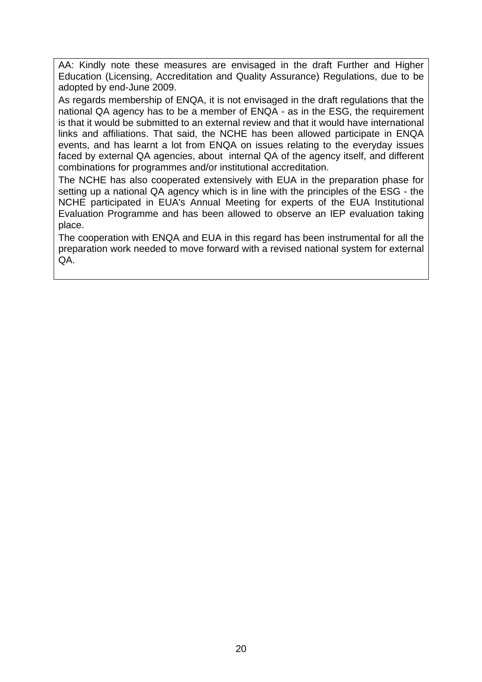AA: Kindly note these measures are envisaged in the draft Further and Higher Education (Licensing, Accreditation and Quality Assurance) Regulations, due to be adopted by end-June 2009.

As regards membership of ENQA, it is not envisaged in the draft regulations that the national QA agency has to be a member of ENQA - as in the ESG, the requirement is that it would be submitted to an external review and that it would have international links and affiliations. That said, the NCHE has been allowed participate in ENQA events, and has learnt a lot from ENQA on issues relating to the everyday issues faced by external QA agencies, about internal QA of the agency itself, and different combinations for programmes and/or institutional accreditation.

The NCHE has also cooperated extensively with EUA in the preparation phase for setting up a national QA agency which is in line with the principles of the ESG - the NCHE participated in EUA's Annual Meeting for experts of the EUA Institutional Evaluation Programme and has been allowed to observe an IEP evaluation taking place.

The cooperation with ENQA and EUA in this regard has been instrumental for all the preparation work needed to move forward with a revised national system for external QA.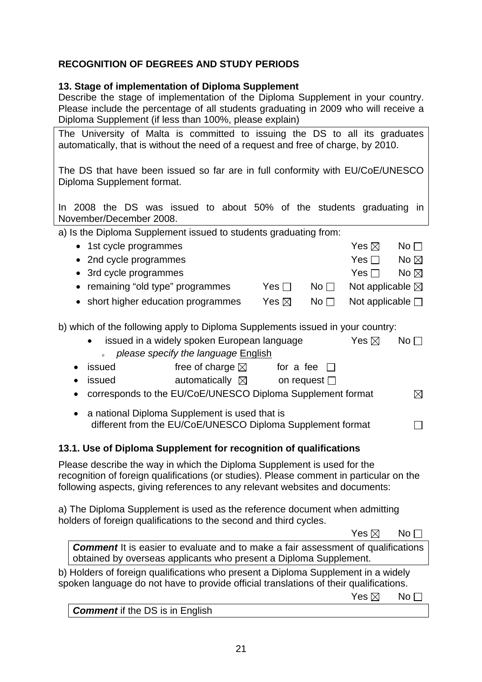# **RECOGNITION OF DEGREES AND STUDY PERIODS**

### **13. Stage of implementation of Diploma Supplement**

Describe the stage of implementation of the Diploma Supplement in your country. Please include the percentage of all students graduating in 2009 who will receive a Diploma Supplement (if less than 100%, please explain)

The University of Malta is committed to issuing the DS to all its graduates automatically, that is without the need of a request and free of charge, by 2010.

The DS that have been issued so far are in full conformity with EU/CoE/UNESCO Diploma Supplement format.

In 2008 the DS was issued to about 50% of the students graduating in November/December 2008.

|  | a) Is the Diploma Supplement issued to students graduating from: |  |  |  |  |  |
|--|------------------------------------------------------------------|--|--|--|--|--|
|--|------------------------------------------------------------------|--|--|--|--|--|

| • 1st cycle programmes              |                 |                     | Yes $\boxtimes$            | $No$           |
|-------------------------------------|-----------------|---------------------|----------------------------|----------------|
| • 2nd cycle programmes              |                 |                     | Yes $\Box$                 | No $\boxtimes$ |
| • 3rd cycle programmes              |                 |                     | Yes II                     | No $\boxtimes$ |
| • remaining "old type" programmes   | Yes ⊟           | No <sub>1</sub>     | Not applicable $\boxtimes$ |                |
| • short higher education programmes | Yes $\boxtimes$ | $\mathsf{No}\,\Box$ | Not applicable $\square$   |                |

b) which of the following apply to Diploma Supplements issued in your country:

| on or the rollowing apply to Diploma Oupplements issued in your country. |                 |           |
|--------------------------------------------------------------------------|-----------------|-----------|
| • issued in a widely spoken European language                            | Yes $\boxtimes$ | No $\Box$ |
| please specify the language English                                      |                 |           |

- issued free of charge  $\boxtimes$  for a fee  $\Box$
- issued  $\bullet$  automatically  $\boxtimes$  on request  $\Box$
- corresponds to the EU/CoE/UNESCO Diploma Supplement format  $\boxtimes$
- a national Diploma Supplement is used that is different from the EU/CoE/UNESCO Diploma Supplement format  $\Box$

# **13.1. Use of Diploma Supplement for recognition of qualifications**

Please describe the way in which the Diploma Supplement is used for the recognition of foreign qualifications (or studies). Please comment in particular on the following aspects, giving references to any relevant websites and documents:

a) The Diploma Supplement is used as the reference document when admitting holders of foreign qualifications to the second and third cycles.

 $\mathsf{Yes} \boxtimes \mathsf{No}$ **Comment** It is easier to evaluate and to make a fair assessment of qualifications obtained by overseas applicants who present a Diploma Supplement. b) Holders of foreign qualifications who present a Diploma Supplement in a widely

spoken language do not have to provide official translations of their qualifications.

 $\mathsf{Yes} \boxtimes \mathsf{No}$ 

*Comment* if the DS is in English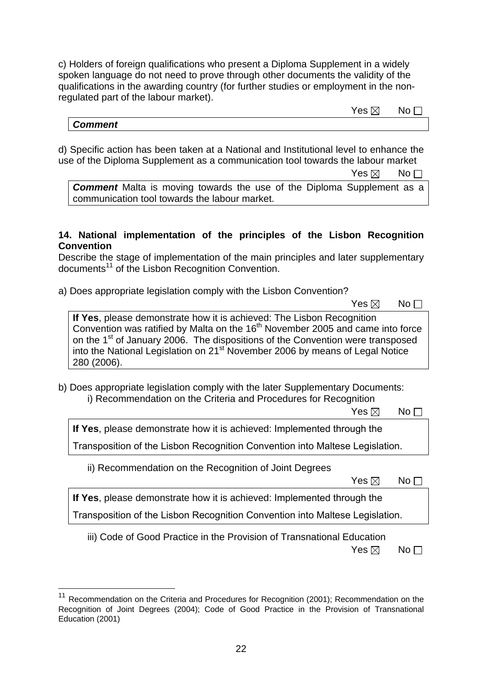c) Holders of foreign qualifications who present a Diploma Supplement in a widely spoken language do not need to prove through other documents the validity of the qualifications in the awarding country (for further studies or employment in the nonregulated part of the labour market).

# $\mathsf{Yes} \boxtimes \mathsf{No}$ *Comment*

d) Specific action has been taken at a National and Institutional level to enhance the use of the Diploma Supplement as a communication tool towards the labour market

 $\mathsf{Yes} \boxtimes \mathsf{No}$ 

**Comment** Malta is moving towards the use of the Diploma Supplement as a communication tool towards the labour market.

## **14. National implementation of the principles of the Lisbon Recognition Convention**

Describe the stage of implementation of the main principles and later supplementary documents<sup>11</sup> of the Lisbon Recognition Convention.

a) Does appropriate legislation comply with the Lisbon Convention?

 $\mathsf{Yes} \boxtimes \mathsf{No}$ 

**If Yes**, please demonstrate how it is achieved: The Lisbon Recognition Convention was ratified by Malta on the  $16<sup>th</sup>$  November 2005 and came into force on the 1<sup>st</sup> of January 2006. The dispositions of the Convention were transposed into the National Legislation on  $21^{st}$  November 2006 by means of Legal Notice 280 (2006).

b) Does appropriate legislation comply with the later Supplementary Documents: i) Recommendation on the Criteria and Procedures for Recognition

 $\mathsf{Yes} \boxtimes \mathsf{No}$ 

**If Yes**, please demonstrate how it is achieved: Implemented through the

Transposition of the Lisbon Recognition Convention into Maltese Legislation.

ii) Recommendation on the Recognition of Joint Degrees

 $\mathsf{Yes} \boxtimes \mathsf{No}$ 

**If Yes**, please demonstrate how it is achieved: Implemented through the

Transposition of the Lisbon Recognition Convention into Maltese Legislation.

iii) Code of Good Practice in the Provision of Transnational Education

 $\mathsf{Yes} \boxtimes \mathsf{No}$ 

 $\overline{a}$ <sup>11</sup> Recommendation on the Criteria and Procedures for Recognition (2001); Recommendation on the Recognition of Joint Degrees (2004); Code of Good Practice in the Provision of Transnational Education (2001)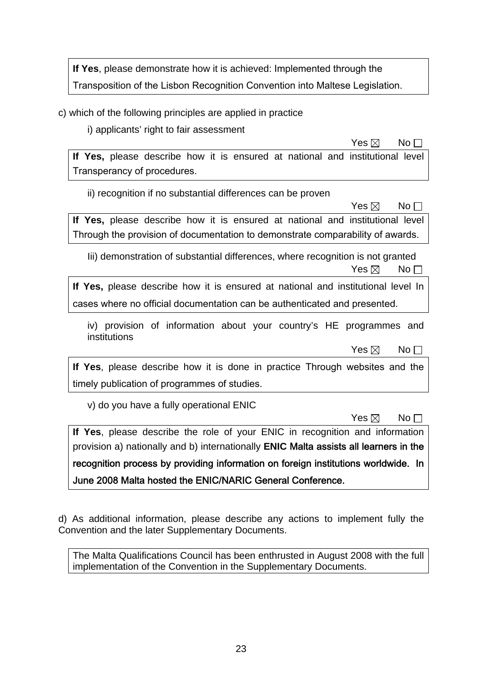**If Yes**, please demonstrate how it is achieved: Implemented through the Transposition of the Lisbon Recognition Convention into Maltese Legislation.

c) which of the following principles are applied in practice

i) applicants' right to fair assessment

 $\mathsf{Yes} \boxtimes \mathsf{No}$ 

**If Yes,** please describe how it is ensured at national and institutional level Transperancy of procedures.

ii) recognition if no substantial differences can be proven

 $\mathsf{Yes} \boxtimes \mathsf{No}$ **If Yes,** please describe how it is ensured at national and institutional level Through the provision of documentation to demonstrate comparability of awards.

Iii) demonstration of substantial differences, where recognition is not granted  $\mathsf{Yes} \boxtimes \mathsf{No}$ 

**If Yes,** please describe how it is ensured at national and institutional level In cases where no official documentation can be authenticated and presented.

iv) provision of information about your country's HE programmes and institutions

 $\mathsf{Yes} \boxtimes \mathsf{No}$ 

**If Yes**, please describe how it is done in practice Through websites and the timely publication of programmes of studies.

v) do you have a fully operational ENIC

 $\mathsf{Yes} \boxtimes \mathsf{No}$ 

**If Yes**, please describe the role of your ENIC in recognition and information provision a) nationally and b) internationally **ENIC** Malta assists all learners in the recognition process by providing information on foreign institutions worldwide. In June 2008 Malta hosted the ENIC/NARIC General Conference.

d) As additional information, please describe any actions to implement fully the Convention and the later Supplementary Documents.

The Malta Qualifications Council has been enthrusted in August 2008 with the full implementation of the Convention in the Supplementary Documents.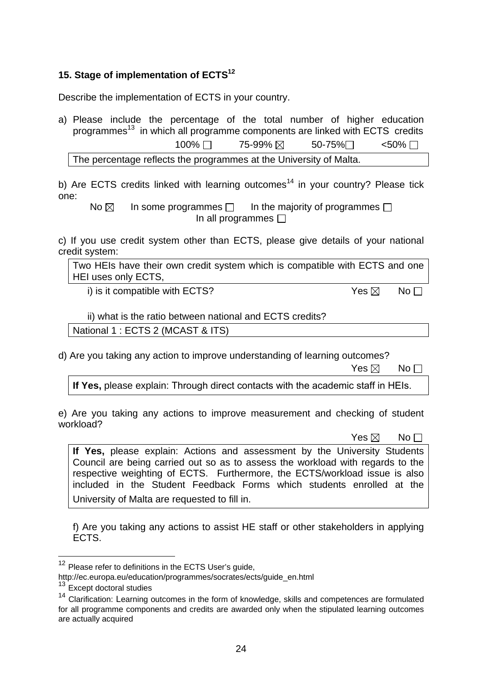# **15. Stage of implementation of ECTS12**

Describe the implementation of ECTS in your country.

a) Please include the percentage of the total number of higher education programmes<sup>13</sup> in which all programme components are linked with ECTS credits  $100\%$   $\Box$  75-99%  $\boxtimes$  50-75% $\Box$  <50%  $\Box$ 

The percentage reflects the programmes at the University of Malta.

b) Are ECTS credits linked with learning outcomes<sup>14</sup> in your country? Please tick one:

No  $\boxtimes$  In some programmes  $\Box$  In the majority of programmes  $\Box$ In all programmes  $\Box$ 

c) If you use credit system other than ECTS, please give details of your national credit system:

Two HEIs have their own credit system which is compatible with ECTS and one HEI uses only ECTS,

i) is it compatible with ECTS?  $Yes \boxtimes \neg No \Box$ 

#### ii) what is the ratio between national and ECTS credits?

National 1 : ECTS 2 (MCAST & ITS)

d) Are you taking any action to improve understanding of learning outcomes?

 $\mathsf{Yes} \boxtimes \mathsf{No}$ 

**If Yes,** please explain: Through direct contacts with the academic staff in HEIs.

e) Are you taking any actions to improve measurement and checking of student workload?

 $\mathsf{Yes} \boxtimes \mathsf{No}$ 

**If Yes,** please explain: Actions and assessment by the University Students Council are being carried out so as to assess the workload with regards to the respective weighting of ECTS. Furthermore, the ECTS/workload issue is also included in the Student Feedback Forms which students enrolled at the University of Malta are requested to fill in.

f) Are you taking any actions to assist HE staff or other stakeholders in applying ECTS.

 $\overline{a}$ 

 $12$  Please refer to definitions in the ECTS User's guide,

http://ec.europa.eu/education/programmes/socrates/ects/guide\_en.html 13 Except doctoral studies

<sup>&</sup>lt;sup>14</sup> Clarification: Learning outcomes in the form of knowledge, skills and competences are formulated for all programme components and credits are awarded only when the stipulated learning outcomes are actually acquired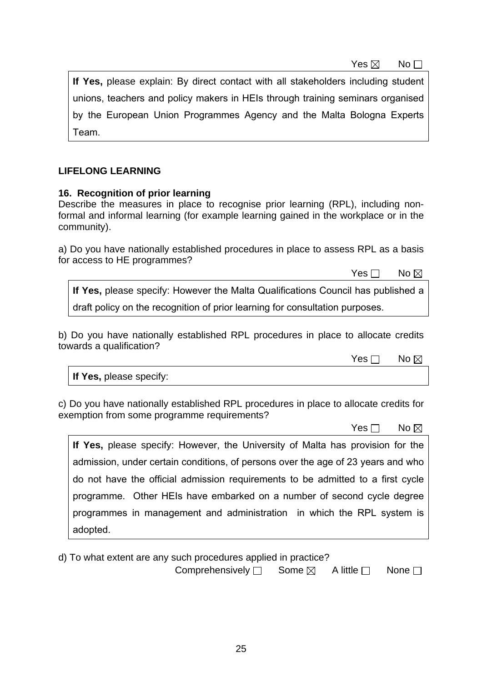$\mathsf{Yes} \boxtimes \mathsf{No}$ 

**If Yes,** please explain: By direct contact with all stakeholders including student unions, teachers and policy makers in HEIs through training seminars organised by the European Union Programmes Agency and the Malta Bologna Experts Team.

# **LIFELONG LEARNING**

### **16. Recognition of prior learning**

Describe the measures in place to recognise prior learning (RPL), including nonformal and informal learning (for example learning gained in the workplace or in the community).

a) Do you have nationally established procedures in place to assess RPL as a basis for access to HE programmes?

No and the set of the set of the SNo and the SNo and the No and the No and the No and the No and the No and the No

**If Yes,** please specify: However the Malta Qualifications Council has published a draft policy on the recognition of prior learning for consultation purposes.

b) Do you have nationally established RPL procedures in place to allocate credits towards a qualification?

No and the state of the SNo. No and the SNo. No and the SNo. No and the No and the No and the No and the No and the No

**If Yes,** please specify:

c) Do you have nationally established RPL procedures in place to allocate credits for exemption from some programme requirements?

No and the set of the set of the SNo and the SNo and the No and the No and No and No and No and No and No and No

**If Yes,** please specify: However, the University of Malta has provision for the admission, under certain conditions, of persons over the age of 23 years and who do not have the official admission requirements to be admitted to a first cycle programme. Other HEIs have embarked on a number of second cycle degree programmes in management and administration in which the RPL system is adopted.

d) To what extent are any such procedures applied in practice?

Comprehensively  $\square$  Some  $\boxtimes$  A little  $\square$  None  $\square$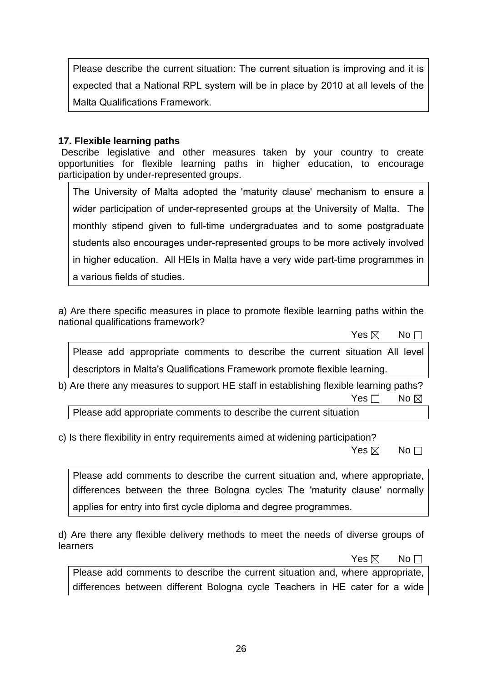Please describe the current situation: The current situation is improving and it is expected that a National RPL system will be in place by 2010 at all levels of the Malta Qualifications Framework.

### **17. Flexible learning paths**

 Describe legislative and other measures taken by your country to create opportunities for flexible learning paths in higher education, to encourage participation by under-represented groups.

The University of Malta adopted the 'maturity clause' mechanism to ensure a wider participation of under-represented groups at the University of Malta. The monthly stipend given to full-time undergraduates and to some postgraduate students also encourages under-represented groups to be more actively involved in higher education. All HEIs in Malta have a very wide part-time programmes in a various fields of studies.

a) Are there specific measures in place to promote flexible learning paths within the national qualifications framework?

| Yes $\boxtimes$                                                                                                                                              | $No \Box$       |
|--------------------------------------------------------------------------------------------------------------------------------------------------------------|-----------------|
| Please add appropriate comments to describe the current situation All level                                                                                  |                 |
| descriptors in Malta's Qualifications Framework promote flexible learning.                                                                                   |                 |
| b) Are there any measures to support HE staff in establishing flexible learning paths?                                                                       |                 |
| Yes $\sqcap$                                                                                                                                                 | No $\boxtimes$  |
| Please add appropriate comments to describe the current situation                                                                                            |                 |
| c) Is there flexibility in entry requirements aimed at widening participation?<br>Yes $\boxtimes$                                                            | No <sub>1</sub> |
| Please add comments to describe the current situation and, where appropriate,<br>differences between the three Bologna cycles The 'maturity clause' normally |                 |

d) Are there any flexible delivery methods to meet the needs of diverse groups of learners

applies for entry into first cycle diploma and degree programmes.

 $\mathsf{Yes} \boxtimes \mathsf{No}$ 

Please add comments to describe the current situation and, where appropriate, differences between different Bologna cycle Teachers in HE cater for a wide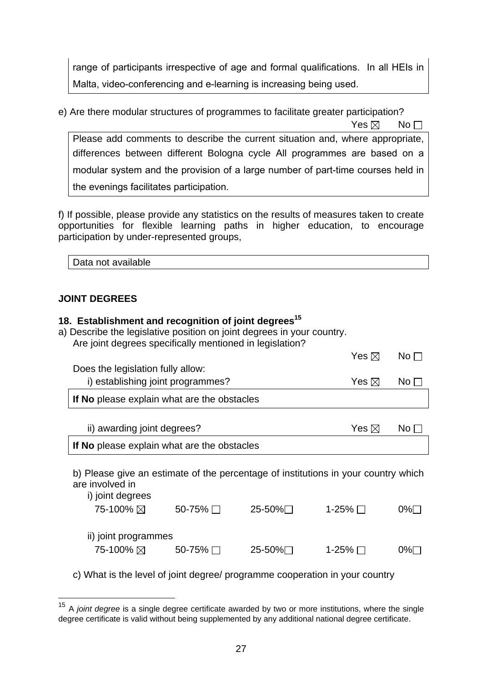range of participants irrespective of age and formal qualifications. In all HEIs in Malta, video-conferencing and e-learning is increasing being used.

e) Are there modular structures of programmes to facilitate greater participation?

 $\mathsf{Yes} \boxtimes \mathsf{No}$ 

Please add comments to describe the current situation and, where appropriate, differences between different Bologna cycle All programmes are based on a modular system and the provision of a large number of part-time courses held in the evenings facilitates participation.

f) If possible, please provide any statistics on the results of measures taken to create opportunities for flexible learning paths in higher education, to encourage participation by under-represented groups,

| Data not available |  |  |
|--------------------|--|--|
|                    |  |  |

# **JOINT DEGREES**

 $\overline{a}$ 

| 18. Establishment and recognition of joint degrees <sup>15</sup><br>a) Describe the legislative position on joint degrees in your country.<br>Are joint degrees specifically mentioned in legislation? |                 |           |                 |                 |  |  |
|--------------------------------------------------------------------------------------------------------------------------------------------------------------------------------------------------------|-----------------|-----------|-----------------|-----------------|--|--|
|                                                                                                                                                                                                        |                 |           | Yes $\boxtimes$ | No <sub>1</sub> |  |  |
| Does the legislation fully allow:                                                                                                                                                                      |                 |           |                 |                 |  |  |
| i) establishing joint programmes?                                                                                                                                                                      |                 |           | Yes $\boxtimes$ | No $\Box$       |  |  |
| If No please explain what are the obstacles                                                                                                                                                            |                 |           |                 |                 |  |  |
|                                                                                                                                                                                                        |                 |           |                 |                 |  |  |
| ii) awarding joint degrees?                                                                                                                                                                            | Yes $\boxtimes$ | No $\Box$ |                 |                 |  |  |
| If No please explain what are the obstacles                                                                                                                                                            |                 |           |                 |                 |  |  |
| b) Please give an estimate of the percentage of institutions in your country which<br>are involved in<br>i) joint degrees                                                                              |                 |           |                 |                 |  |  |
| 75-100% ⊠                                                                                                                                                                                              | 50-75% $\Box$   | 25-50%∏   | 1-25% $\Box$    | $0\%$ $\Box$    |  |  |
| ii) joint programmes                                                                                                                                                                                   |                 |           |                 |                 |  |  |
| 75-100% $\boxtimes$ 50-75% $\Box$                                                                                                                                                                      |                 | 25-50%∏   | 1-25% $\Box$    | $0\%$           |  |  |

c) What is the level of joint degree/ programme cooperation in your country

<sup>15</sup> A *joint degree* is a single degree certificate awarded by two or more institutions, where the single degree certificate is valid without being supplemented by any additional national degree certificate.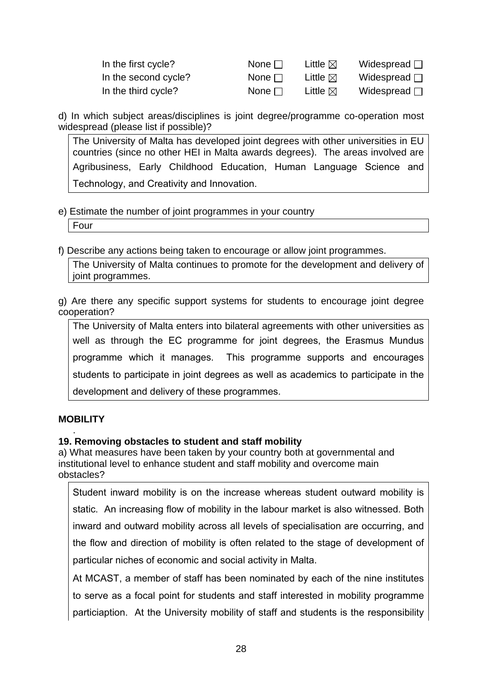| In the first cycle?  | None $\Box$ | Little $\boxtimes$ | Widespread $\square$ |
|----------------------|-------------|--------------------|----------------------|
| In the second cycle? | None $\Box$ | Little $\boxtimes$ | Widespread $\Box$    |
| In the third cycle?  | None $\Box$ | Little $\boxtimes$ | Widespread $\Box$    |

d) In which subject areas/disciplines is joint degree/programme co-operation most widespread (please list if possible)?

The University of Malta has developed joint degrees with other universities in EU countries (since no other HEI in Malta awards degrees). The areas involved are Agribusiness, Early Childhood Education, Human Language Science and Technology, and Creativity and Innovation.

#### e) Estimate the number of joint programmes in your country

Four

f) Describe any actions being taken to encourage or allow joint programmes.

The University of Malta continues to promote for the development and delivery of joint programmes.

g) Are there any specific support systems for students to encourage joint degree cooperation?

The University of Malta enters into bilateral agreements with other universities as well as through the EC programme for joint degrees, the Erasmus Mundus programme which it manages. This programme supports and encourages students to participate in joint degrees as well as academics to participate in the development and delivery of these programmes.

# **MOBILITY**

#### . **19. Removing obstacles to student and staff mobility**

a) What measures have been taken by your country both at governmental and institutional level to enhance student and staff mobility and overcome main obstacles?

Student inward mobility is on the increase whereas student outward mobility is static. An increasing flow of mobility in the labour market is also witnessed. Both inward and outward mobility across all levels of specialisation are occurring, and the flow and direction of mobility is often related to the stage of development of particular niches of economic and social activity in Malta.

At MCAST, a member of staff has been nominated by each of the nine institutes to serve as a focal point for students and staff interested in mobility programme particiaption. At the University mobility of staff and students is the responsibility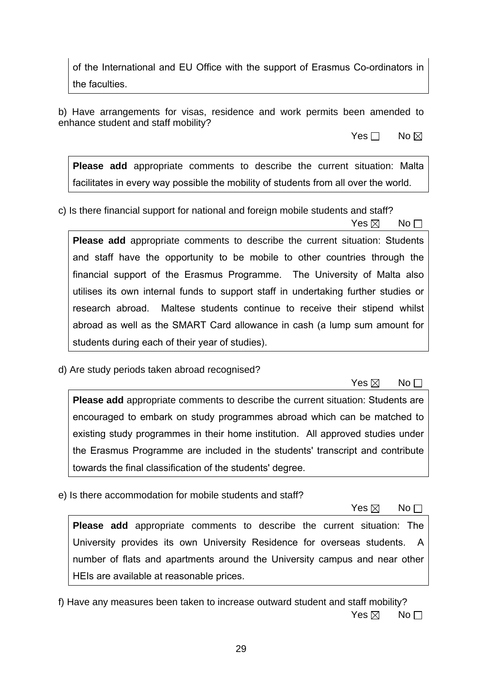of the International and EU Office with the support of Erasmus Co-ordinators in the faculties.

b) Have arrangements for visas, residence and work permits been amended to enhance student and staff mobility?

No and the set of the set of the SNo and the No and No and No and No and No and No and No and No and No and No

**Please add** appropriate comments to describe the current situation: Malta facilitates in every way possible the mobility of students from all over the world.

 $\mathsf{Yes} \boxtimes \mathsf{No}$ 

c) Is there financial support for national and foreign mobile students and staff?

**Please add** appropriate comments to describe the current situation: Students and staff have the opportunity to be mobile to other countries through the financial support of the Erasmus Programme. The University of Malta also utilises its own internal funds to support staff in undertaking further studies or research abroad. Maltese students continue to receive their stipend whilst abroad as well as the SMART Card allowance in cash (a lump sum amount for students during each of their year of studies).

d) Are study periods taken abroad recognised?

 $\mathsf{Yes} \boxtimes \mathsf{No}$ 

**Please add** appropriate comments to describe the current situation: Students are encouraged to embark on study programmes abroad which can be matched to existing study programmes in their home institution. All approved studies under the Erasmus Programme are included in the students' transcript and contribute towards the final classification of the students' degree.

e) Is there accommodation for mobile students and staff?

 $\mathsf{Yes} \boxtimes \mathsf{No}$ 

**Please add** appropriate comments to describe the current situation: The University provides its own University Residence for overseas students. A number of flats and apartments around the University campus and near other HEIs are available at reasonable prices.

f) Have any measures been taken to increase outward student and staff mobility?  $\mathsf{Yes} \boxtimes \mathsf{No}$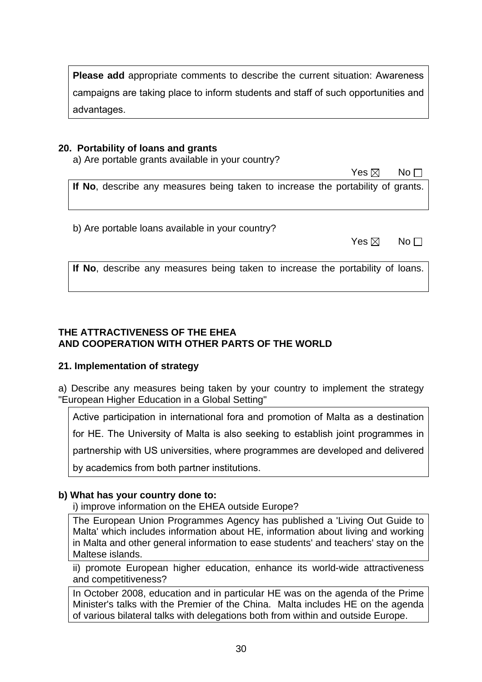**Please add** appropriate comments to describe the current situation: Awareness campaigns are taking place to inform students and staff of such opportunities and advantages.

### **20. Portability of loans and grants**

a) Are portable grants available in your country?

 $\mathsf{Yes} \boxtimes \mathsf{No}$ **If No**, describe any measures being taken to increase the portability of grants.

b) Are portable loans available in your country?

| Yes $\boxtimes$ No $\square$ |  |
|------------------------------|--|
|                              |  |

**If No**, describe any measures being taken to increase the portability of loans.

# **THE ATTRACTIVENESS OF THE EHEA AND COOPERATION WITH OTHER PARTS OF THE WORLD**

# **21. Implementation of strategy**

a) Describe any measures being taken by your country to implement the strategy "European Higher Education in a Global Setting"

Active participation in international fora and promotion of Malta as a destination

for HE. The University of Malta is also seeking to establish joint programmes in

partnership with US universities, where programmes are developed and delivered

by academics from both partner institutions.

# **b) What has your country done to:**

i) improve information on the EHEA outside Europe?

The European Union Programmes Agency has published a 'Living Out Guide to Malta' which includes information about HE, information about living and working in Malta and other general information to ease students' and teachers' stay on the Maltese islands.

ii) promote European higher education, enhance its world-wide attractiveness and competitiveness?

In October 2008, education and in particular HE was on the agenda of the Prime Minister's talks with the Premier of the China. Malta includes HE on the agenda of various bilateral talks with delegations both from within and outside Europe.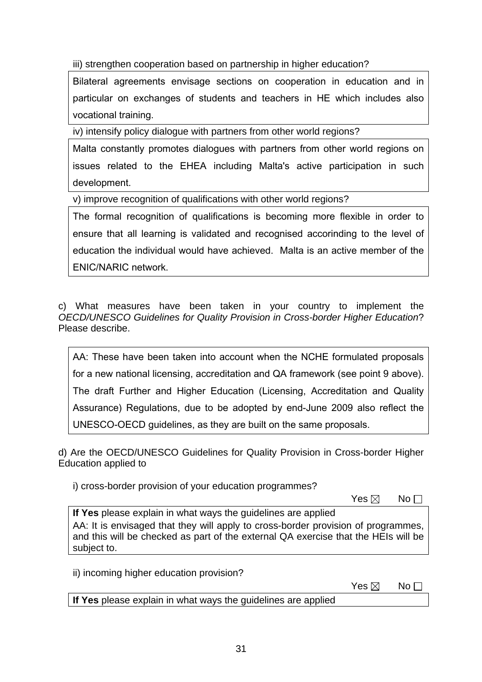iii) strengthen cooperation based on partnership in higher education?

Bilateral agreements envisage sections on cooperation in education and in particular on exchanges of students and teachers in HE which includes also vocational training.

iv) intensify policy dialogue with partners from other world regions?

Malta constantly promotes dialogues with partners from other world regions on issues related to the EHEA including Malta's active participation in such development.

v) improve recognition of qualifications with other world regions?

The formal recognition of qualifications is becoming more flexible in order to ensure that all learning is validated and recognised accorinding to the level of education the individual would have achieved. Malta is an active member of the ENIC/NARIC network.

c) What measures have been taken in your country to implement the *OECD/UNESCO Guidelines for Quality Provision in Cross-border Higher Education*? Please describe.

AA: These have been taken into account when the NCHE formulated proposals for a new national licensing, accreditation and QA framework (see point 9 above). The draft Further and Higher Education (Licensing, Accreditation and Quality Assurance) Regulations, due to be adopted by end-June 2009 also reflect the UNESCO-OECD guidelines, as they are built on the same proposals.

d) Are the OECD/UNESCO Guidelines for Quality Provision in Cross-border Higher Education applied to

i) cross-border provision of your education programmes?

 $\mathsf{Yes} \boxtimes \mathsf{No}$ 

**If Yes** please explain in what ways the guidelines are applied AA: It is envisaged that they will apply to cross-border provision of programmes, and this will be checked as part of the external QA exercise that the HEIs will be subject to.

ii) incoming higher education provision?

 $\mathsf{Yes} \boxtimes \mathsf{No}$ 

**If Yes** please explain in what ways the guidelines are applied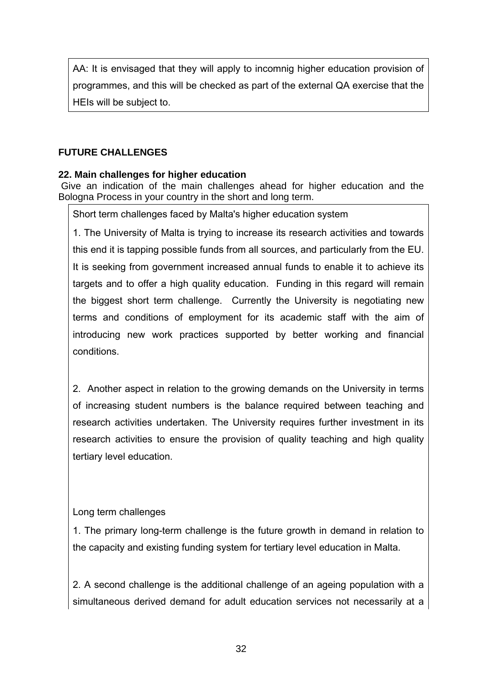AA: It is envisaged that they will apply to incomnig higher education provision of programmes, and this will be checked as part of the external QA exercise that the HEIs will be subject to.

# **FUTURE CHALLENGES**

# **22. Main challenges for higher education**

 Give an indication of the main challenges ahead for higher education and the Bologna Process in your country in the short and long term.

Short term challenges faced by Malta's higher education system

1. The University of Malta is trying to increase its research activities and towards this end it is tapping possible funds from all sources, and particularly from the EU. It is seeking from government increased annual funds to enable it to achieve its targets and to offer a high quality education. Funding in this regard will remain the biggest short term challenge. Currently the University is negotiating new terms and conditions of employment for its academic staff with the aim of introducing new work practices supported by better working and financial conditions.

2. Another aspect in relation to the growing demands on the University in terms of increasing student numbers is the balance required between teaching and research activities undertaken. The University requires further investment in its research activities to ensure the provision of quality teaching and high quality tertiary level education.

# Long term challenges

1. The primary long-term challenge is the future growth in demand in relation to the capacity and existing funding system for tertiary level education in Malta.

2. A second challenge is the additional challenge of an ageing population with a simultaneous derived demand for adult education services not necessarily at a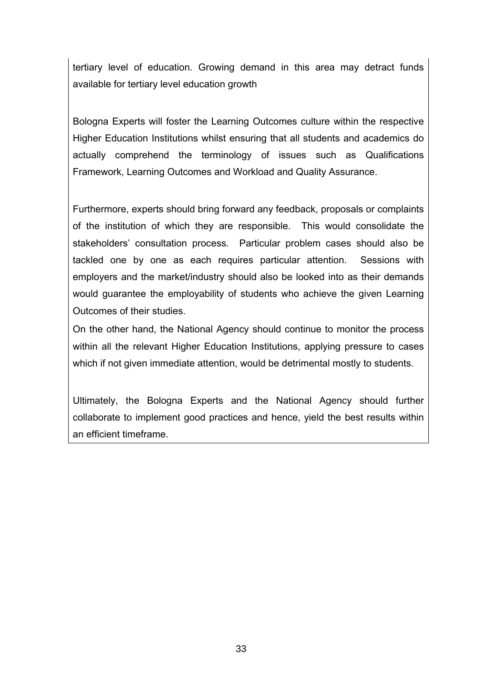tertiary level of education. Growing demand in this area may detract funds available for tertiary level education growth

Bologna Experts will foster the Learning Outcomes culture within the respective Higher Education Institutions whilst ensuring that all students and academics do actually comprehend the terminology of issues such as Qualifications Framework, Learning Outcomes and Workload and Quality Assurance.

Furthermore, experts should bring forward any feedback, proposals or complaints of the institution of which they are responsible. This would consolidate the stakeholders' consultation process. Particular problem cases should also be tackled one by one as each requires particular attention. Sessions with employers and the market/industry should also be looked into as their demands would guarantee the employability of students who achieve the given Learning Outcomes of their studies.

On the other hand, the National Agency should continue to monitor the process within all the relevant Higher Education Institutions, applying pressure to cases which if not given immediate attention, would be detrimental mostly to students.

Ultimately, the Bologna Experts and the National Agency should further collaborate to implement good practices and hence, yield the best results within an efficient timeframe.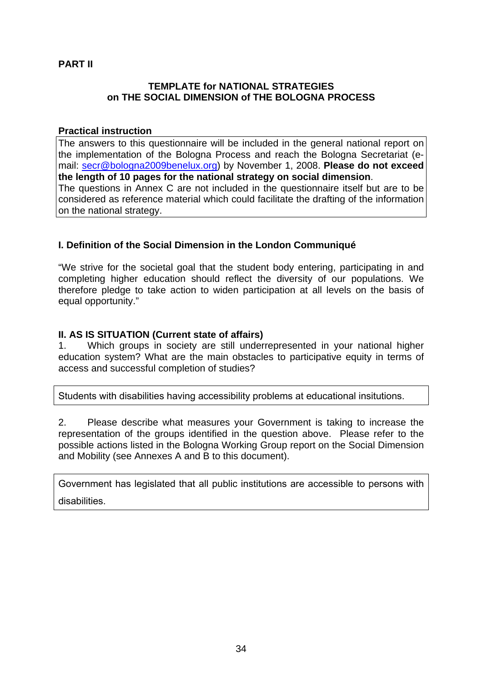# **PART II**

### **TEMPLATE for NATIONAL STRATEGIES on THE SOCIAL DIMENSION of THE BOLOGNA PROCESS**

#### **Practical instruction**

The answers to this questionnaire will be included in the general national report on the implementation of the Bologna Process and reach the Bologna Secretariat (email: secr@bologna2009benelux.org) by November 1, 2008. **Please do not exceed the length of 10 pages for the national strategy on social dimension**. The questions in Annex C are not included in the questionnaire itself but are to be considered as reference material which could facilitate the drafting of the information on the national strategy.

# **I. Definition of the Social Dimension in the London Communiqué**

"We strive for the societal goal that the student body entering, participating in and completing higher education should reflect the diversity of our populations. We therefore pledge to take action to widen participation at all levels on the basis of equal opportunity."

# **II. AS IS SITUATION (Current state of affairs)**

1. Which groups in society are still underrepresented in your national higher education system? What are the main obstacles to participative equity in terms of access and successful completion of studies?

Students with disabilities having accessibility problems at educational insitutions.

2. Please describe what measures your Government is taking to increase the representation of the groups identified in the question above. Please refer to the possible actions listed in the Bologna Working Group report on the Social Dimension and Mobility (see Annexes A and B to this document).

Government has legislated that all public institutions are accessible to persons with disabilities.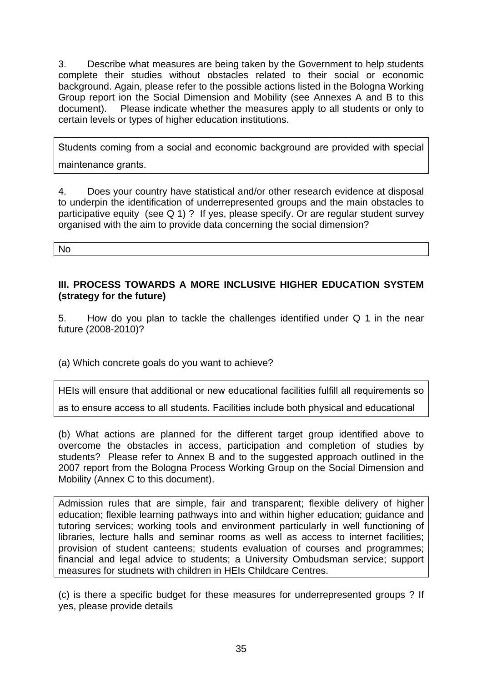3. Describe what measures are being taken by the Government to help students complete their studies without obstacles related to their social or economic background. Again, please refer to the possible actions listed in the Bologna Working Group report ion the Social Dimension and Mobility (see Annexes A and B to this document). Please indicate whether the measures apply to all students or only to certain levels or types of higher education institutions.

Students coming from a social and economic background are provided with special maintenance grants.

4. Does your country have statistical and/or other research evidence at disposal to underpin the identification of underrepresented groups and the main obstacles to participative equity (see Q 1) ? If yes, please specify. Or are regular student survey organised with the aim to provide data concerning the social dimension?

No

## **III. PROCESS TOWARDS A MORE INCLUSIVE HIGHER EDUCATION SYSTEM (strategy for the future)**

5. How do you plan to tackle the challenges identified under Q 1 in the near future (2008-2010)?

(a) Which concrete goals do you want to achieve?

HEIs will ensure that additional or new educational facilities fulfill all requirements so

as to ensure access to all students. Facilities include both physical and educational

(b) What actions are planned for the different target group identified above to overcome the obstacles in access, participation and completion of studies by students? Please refer to Annex B and to the suggested approach outlined in the 2007 report from the Bologna Process Working Group on the Social Dimension and Mobility (Annex C to this document).

Admission rules that are simple, fair and transparent; flexible delivery of higher education; flexible learning pathways into and within higher education; guidance and tutoring services; working tools and environment particularly in well functioning of libraries, lecture halls and seminar rooms as well as access to internet facilities; provision of student canteens; students evaluation of courses and programmes; financial and legal advice to students; a University Ombudsman service; support measures for studnets with children in HEIs Childcare Centres.

(c) is there a specific budget for these measures for underrepresented groups ? If yes, please provide details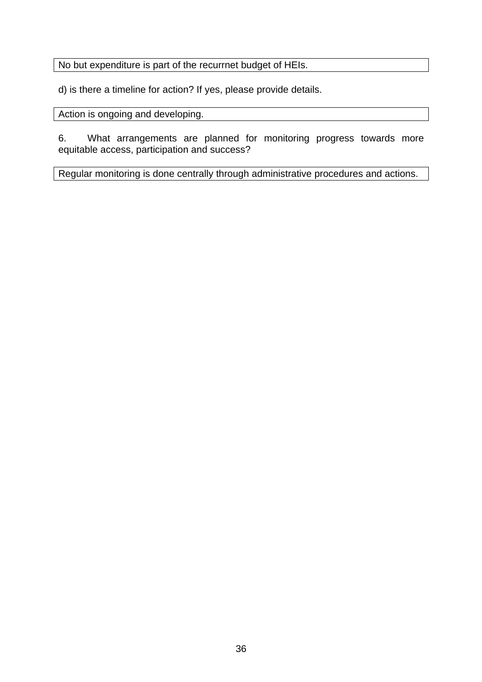No but expenditure is part of the recurrnet budget of HEIs.

d) is there a timeline for action? If yes, please provide details.

Action is ongoing and developing.

6. What arrangements are planned for monitoring progress towards more equitable access, participation and success?

Regular monitoring is done centrally through administrative procedures and actions.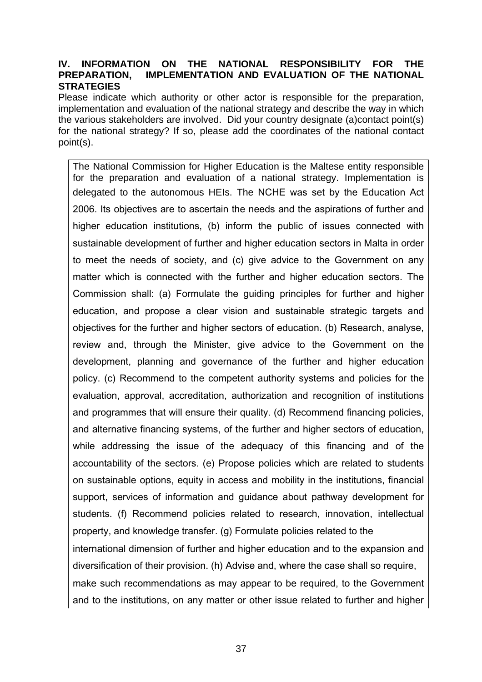#### **IV. INFORMATION ON THE NATIONAL RESPONSIBILITY FOR THE PREPARATION, IMPLEMENTATION AND EVALUATION OF THE NATIONAL STRATEGIES**

Please indicate which authority or other actor is responsible for the preparation, implementation and evaluation of the national strategy and describe the way in which the various stakeholders are involved. Did your country designate (a)contact point(s) for the national strategy? If so, please add the coordinates of the national contact point(s).

The National Commission for Higher Education is the Maltese entity responsible for the preparation and evaluation of a national strategy. Implementation is delegated to the autonomous HEIs. The NCHE was set by the Education Act 2006. Its objectives are to ascertain the needs and the aspirations of further and higher education institutions, (b) inform the public of issues connected with sustainable development of further and higher education sectors in Malta in order to meet the needs of society, and (c) give advice to the Government on any matter which is connected with the further and higher education sectors. The Commission shall: (a) Formulate the guiding principles for further and higher education, and propose a clear vision and sustainable strategic targets and objectives for the further and higher sectors of education. (b) Research, analyse, review and, through the Minister, give advice to the Government on the development, planning and governance of the further and higher education policy. (c) Recommend to the competent authority systems and policies for the evaluation, approval, accreditation, authorization and recognition of institutions and programmes that will ensure their quality. (d) Recommend financing policies, and alternative financing systems, of the further and higher sectors of education, while addressing the issue of the adequacy of this financing and of the accountability of the sectors. (e) Propose policies which are related to students on sustainable options, equity in access and mobility in the institutions, financial support, services of information and guidance about pathway development for students. (f) Recommend policies related to research, innovation, intellectual property, and knowledge transfer. (g) Formulate policies related to the international dimension of further and higher education and to the expansion and diversification of their provision. (h) Advise and, where the case shall so require, make such recommendations as may appear to be required, to the Government and to the institutions, on any matter or other issue related to further and higher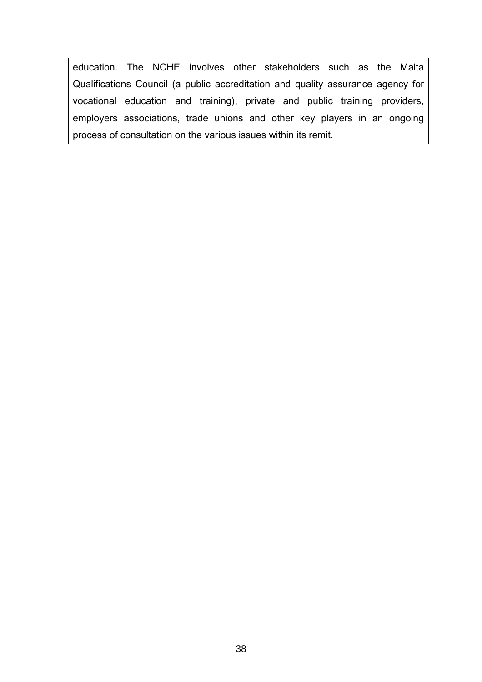education. The NCHE involves other stakeholders such as the Malta Qualifications Council (a public accreditation and quality assurance agency for vocational education and training), private and public training providers, employers associations, trade unions and other key players in an ongoing process of consultation on the various issues within its remit.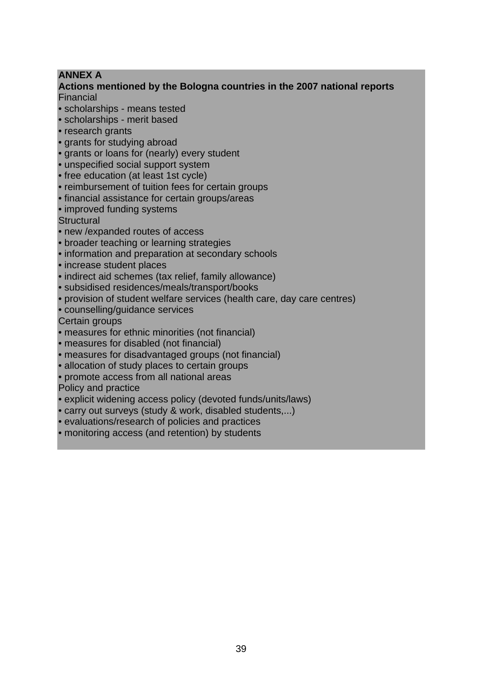# **ANNEX A**

#### **Actions mentioned by the Bologna countries in the 2007 national reports**  Financial

- scholarships means tested
- scholarships merit based
- research grants
- grants for studying abroad
- grants or loans for (nearly) every student
- unspecified social support system
- free education (at least 1st cycle)
- reimbursement of tuition fees for certain groups
- financial assistance for certain groups/areas
- improved funding systems

**Structural** 

- new /expanded routes of access
- broader teaching or learning strategies
- information and preparation at secondary schools
- increase student places
- indirect aid schemes (tax relief, family allowance)
- subsidised residences/meals/transport/books
- provision of student welfare services (health care, day care centres)
- counselling/guidance services

Certain groups

- measures for ethnic minorities (not financial)
- measures for disabled (not financial)
- measures for disadvantaged groups (not financial)
- allocation of study places to certain groups
- promote access from all national areas

Policy and practice

- explicit widening access policy (devoted funds/units/laws)
- carry out surveys (study & work, disabled students,...)
- evaluations/research of policies and practices
- monitoring access (and retention) by students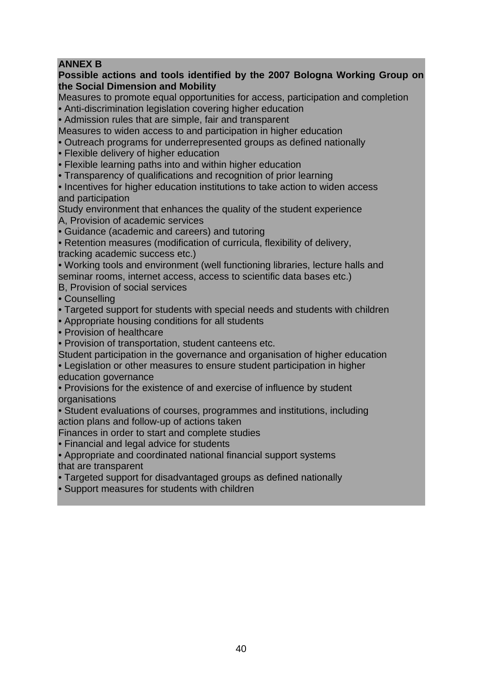# **ANNEX B**

## **Possible actions and tools identified by the 2007 Bologna Working Group on the Social Dimension and Mobility**

Measures to promote equal opportunities for access, participation and completion • Anti-discrimination legislation covering higher education

• Admission rules that are simple, fair and transparent

Measures to widen access to and participation in higher education

• Outreach programs for underrepresented groups as defined nationally

• Flexible delivery of higher education

• Flexible learning paths into and within higher education

• Transparency of qualifications and recognition of prior learning

• Incentives for higher education institutions to take action to widen access and participation

Study environment that enhances the quality of the student experience

A, Provision of academic services

• Guidance (academic and careers) and tutoring

• Retention measures (modification of curricula, flexibility of delivery,

tracking academic success etc.)

• Working tools and environment (well functioning libraries, lecture halls and seminar rooms, internet access, access to scientific data bases etc.)

B, Provision of social services

• Counselling

• Targeted support for students with special needs and students with children

• Appropriate housing conditions for all students

• Provision of healthcare

• Provision of transportation, student canteens etc.

Student participation in the governance and organisation of higher education

• Legislation or other measures to ensure student participation in higher education governance

• Provisions for the existence of and exercise of influence by student **organisations** 

• Student evaluations of courses, programmes and institutions, including action plans and follow-up of actions taken

Finances in order to start and complete studies

• Financial and legal advice for students

• Appropriate and coordinated national financial support systems that are transparent

• Targeted support for disadvantaged groups as defined nationally

• Support measures for students with children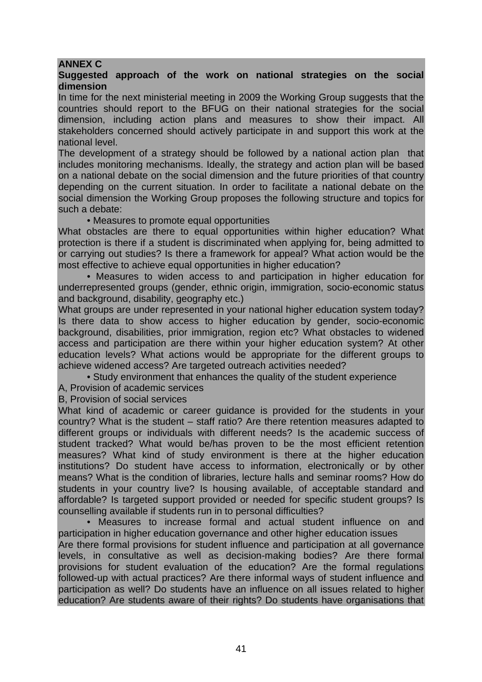## **ANNEX C**

#### **Suggested approach of the work on national strategies on the social dimension**

In time for the next ministerial meeting in 2009 the Working Group suggests that the countries should report to the BFUG on their national strategies for the social dimension, including action plans and measures to show their impact. All stakeholders concerned should actively participate in and support this work at the national level.

The development of a strategy should be followed by a national action plan that includes monitoring mechanisms. Ideally, the strategy and action plan will be based on a national debate on the social dimension and the future priorities of that country depending on the current situation. In order to facilitate a national debate on the social dimension the Working Group proposes the following structure and topics for such a debate:

• Measures to promote equal opportunities

What obstacles are there to equal opportunities within higher education? What protection is there if a student is discriminated when applying for, being admitted to or carrying out studies? Is there a framework for appeal? What action would be the most effective to achieve equal opportunities in higher education?

• Measures to widen access to and participation in higher education for underrepresented groups (gender, ethnic origin, immigration, socio-economic status and background, disability, geography etc.)

What groups are under represented in your national higher education system today? Is there data to show access to higher education by gender, socio-economic background, disabilities, prior immigration, region etc? What obstacles to widened access and participation are there within your higher education system? At other education levels? What actions would be appropriate for the different groups to achieve widened access? Are targeted outreach activities needed?

• Study environment that enhances the quality of the student experience

A, Provision of academic services

B, Provision of social services

What kind of academic or career guidance is provided for the students in your country? What is the student – staff ratio? Are there retention measures adapted to different groups or individuals with different needs? Is the academic success of student tracked? What would be/has proven to be the most efficient retention measures? What kind of study environment is there at the higher education institutions? Do student have access to information, electronically or by other means? What is the condition of libraries, lecture halls and seminar rooms? How do students in your country live? Is housing available, of acceptable standard and affordable? Is targeted support provided or needed for specific student groups? Is counselling available if students run in to personal difficulties?

• Measures to increase formal and actual student influence on and participation in higher education governance and other higher education issues Are there formal provisions for student influence and participation at all governance levels, in consultative as well as decision-making bodies? Are there formal provisions for student evaluation of the education? Are the formal regulations followed-up with actual practices? Are there informal ways of student influence and participation as well? Do students have an influence on all issues related to higher education? Are students aware of their rights? Do students have organisations that